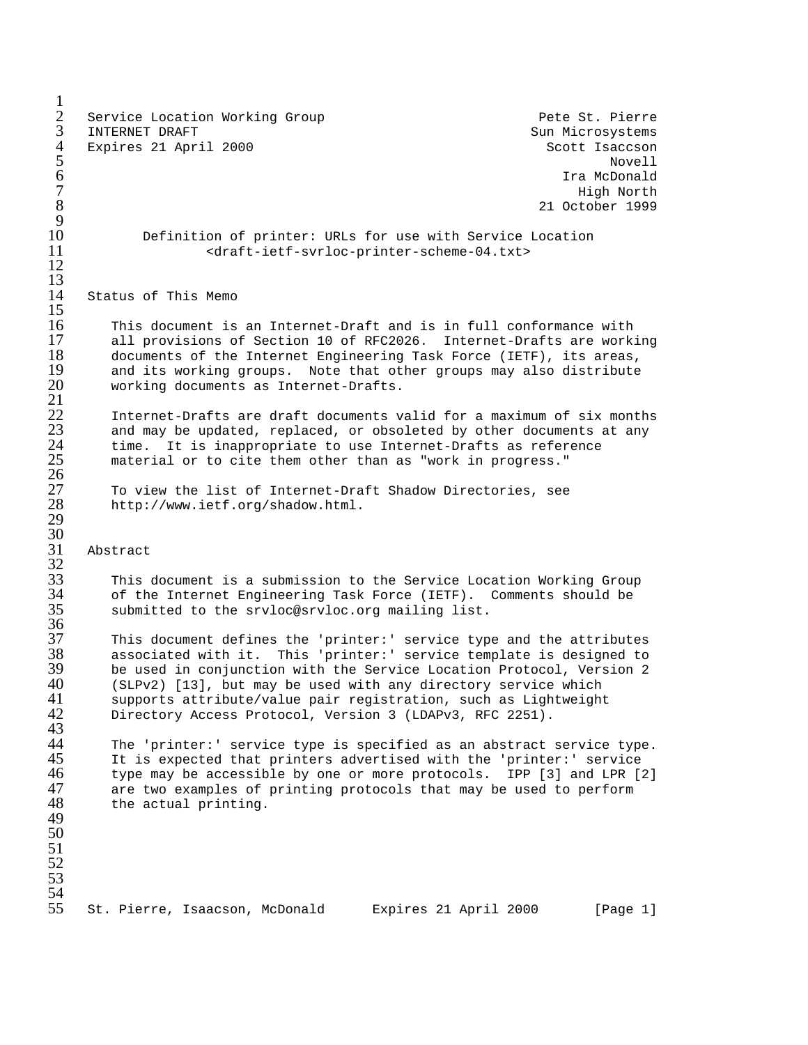$\frac{1}{2}$ 2 Service Location Working Group Pete St. Pierre<br>3 INTERNET DRAFT 3 INTERNET DRAFT Sun Microsystems Sun Microsystems 4 Expires 21 April 2000 Scott Isaccson<br>5 Sout Isaacson Novell 5 Novell  $\,6\,$  Tra McDonald  $\,$  $7$  High North  $\sim$  $\frac{1}{3}$  21 October 1999  $\frac{9}{10}$ 10 Definition of printer: URLs for use with Service Location 11 <draft-ietf-svrloc-printer-scheme-04.txt> 12 13 14 Status of This Memo  $\frac{15}{16}$ 16 This document is an Internet-Draft and is in full conformance with<br>17 all provisions of Section 10 of RFC2026. Internet-Drafts are work. 17 all provisions of Section 10 of RFC2026. Internet-Drafts are working<br>18 documents of the Internet Engineering Task Force (IETF), its areas, 18 documents of the Internet Engineering Task Force (IETF), its areas,<br>19 and its working groups. Note that other groups may also distribute 19 and its working groups. Note that other groups may also distribute 20 working documents as Internet-Drafts. working documents as Internet-Drafts.  $\frac{21}{22}$ 22 Internet-Drafts are draft documents valid for a maximum of six months<br>23 and may be updated, replaced, or obsoleted by other documents at any<br>24 time. It is inappropriate to use Internet-Drafts as reference and may be updated, replaced, or obsoleted by other documents at any time. It is inappropriate to use Internet-Drafts as reference material or to cite them other than as "work in progress." 26 27 To view the list of Internet-Draft Shadow Directories, see 28 http://www.ietf.org/shadow.html. 29 30 31 Abstract  $rac{32}{33}$ 33 This document is a submission to the Service Location Working Group of the Internet Engineering Task Force (IETF). Comments should be submitted to the srvloc@srvloc.org mailing list.  $\frac{35}{36}$ <br>37 37 This document defines the 'printer:' service type and the attributes 38 associated with it. This 'printer:' service template is designed to  $39$  be used in conjunction with the Service Location Protocol, Version 2<br>40 (SLPv2) [13], but may be used with any directory service which 40 (SLPv2) [13], but may be used with any directory service which<br>41 supports attribute/value pair registration, such as Lightweight 41 supports attribute/value pair registration, such as Lightweight<br>42 Directory Access Protocol, Version 3 (LDAPv3, RFC 2251). Directory Access Protocol, Version 3 (LDAPv3, RFC 2251). 43 44 The 'printer:' service type is specified as an abstract service type.<br>45 The is expected that printers advertised with the 'printer:' service 45 It is expected that printers advertised with the 'printer:' service<br>46 type may be accessible by one or more protocols. IPP [3] and LPR [1] 46 type may be accessible by one or more protocols. IPP [3] and LPR [2] 47 are two examples of printing protocols that may be used to perform 47 are two examples of printing protocols that may be used to perform<br>48 the actual printing. the actual printing. 49 50 51 52 53 54 55 St. Pierre, Isaacson, McDonald Expires 21 April 2000 [Page 1]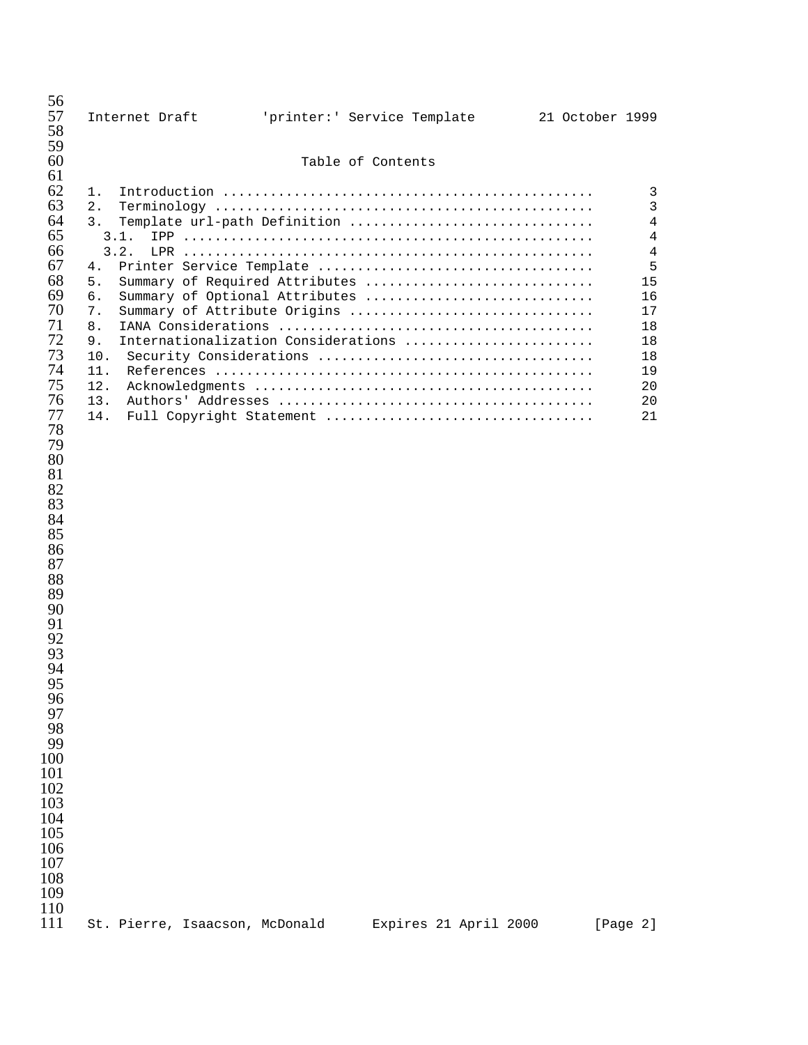| 56<br>57<br>58                                                                                                                                                                                                                                                                                        | Internet Draft                                                                                        |  |                   | 'printer:' Service Template                                                                                                                                                                         | 21 October 1999 |                                                                                                         |
|-------------------------------------------------------------------------------------------------------------------------------------------------------------------------------------------------------------------------------------------------------------------------------------------------------|-------------------------------------------------------------------------------------------------------|--|-------------------|-----------------------------------------------------------------------------------------------------------------------------------------------------------------------------------------------------|-----------------|---------------------------------------------------------------------------------------------------------|
| 59<br>60                                                                                                                                                                                                                                                                                              |                                                                                                       |  | Table of Contents |                                                                                                                                                                                                     |                 |                                                                                                         |
| 61<br>62<br>63<br>64<br>65<br>66<br>67<br>68<br>69<br>70<br>71<br>72<br>73<br>74<br>75<br>76<br>77<br>78<br>79<br>80<br>81<br>82<br>83<br>84<br>85<br>86<br>87<br>88<br>89<br>90<br>91<br>92<br>93<br>94<br>95<br>96<br>97<br>98<br>99<br>100<br>101<br>102<br>103<br>104<br>105<br>106<br>107<br>108 | 1.<br>2.<br>3.<br>3.1.<br>3.2.<br>4.<br>5.<br>б.<br>7.<br>8.<br>9.<br>10.<br>11.<br>12.<br>13.<br>14. |  |                   | Template url-path Definition<br>Summary of Required Attributes<br>Summary of Optional Attributes<br>Summary of Attribute Origins<br>Internationalization Considerations<br>Full Copyright Statement |                 | 3<br>3<br>$\overline{4}$<br>4<br>$\,4$<br>5<br>15<br>16<br>17<br>18<br>18<br>18<br>19<br>20<br>20<br>21 |
| 109<br>110<br>111                                                                                                                                                                                                                                                                                     | St. Pierre, Isaacson, McDonald                                                                        |  |                   | Expires 21 April 2000                                                                                                                                                                               |                 | [Page 2]                                                                                                |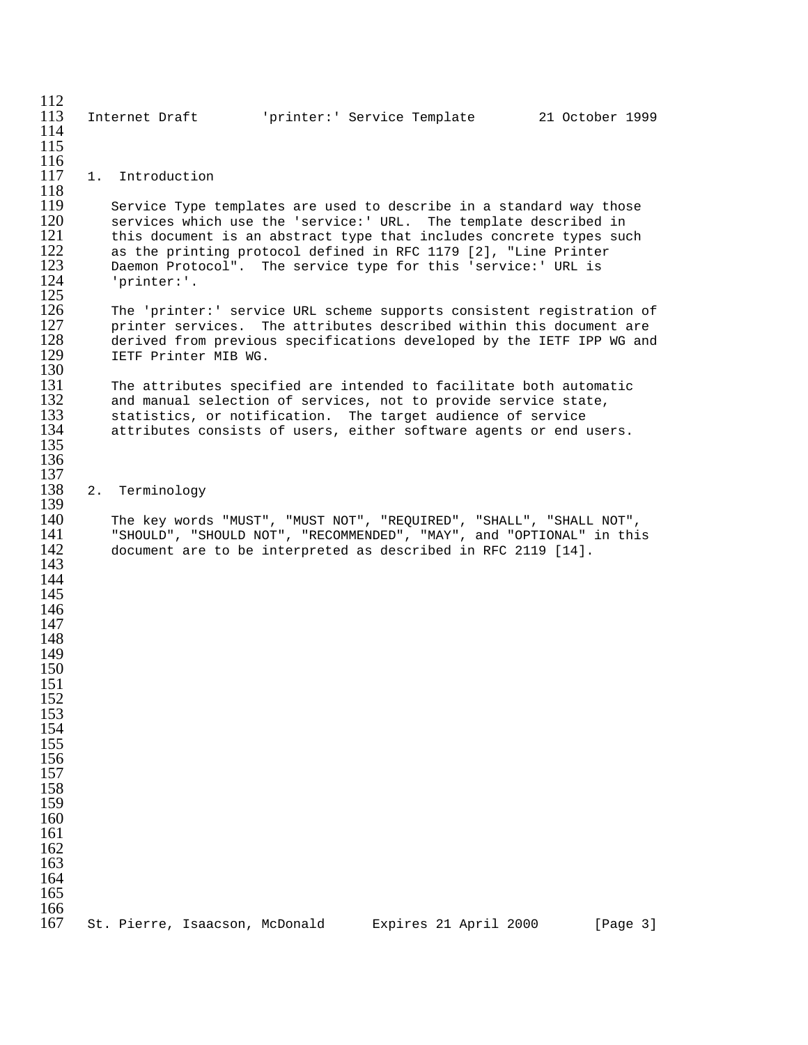| 112<br>113<br>114<br>115                                                                                                                                                                  |    | Internet Draft                 |                      | 'printer:' Service Template                                                                                                      |                       | 21 October 1999                                                                                                                                                                                                       |
|-------------------------------------------------------------------------------------------------------------------------------------------------------------------------------------------|----|--------------------------------|----------------------|----------------------------------------------------------------------------------------------------------------------------------|-----------------------|-----------------------------------------------------------------------------------------------------------------------------------------------------------------------------------------------------------------------|
| 116<br>117<br>118                                                                                                                                                                         |    | 1. Introduction                |                      |                                                                                                                                  |                       |                                                                                                                                                                                                                       |
| 119<br>120<br>121<br>122<br>123<br>124<br>125                                                                                                                                             |    | 'printer:'.                    |                      | as the printing protocol defined in RFC 1179 [2], "Line Printer<br>Daemon Protocol". The service type for this 'service:' URL is |                       | Service Type templates are used to describe in a standard way those<br>services which use the 'service:' URL. The template described in<br>this document is an abstract type that includes concrete types such        |
| 126<br>127<br>128<br>129<br>130                                                                                                                                                           |    |                                | IETF Printer MIB WG. |                                                                                                                                  |                       | The 'printer:' service URL scheme supports consistent registration of<br>printer services. The attributes described within this document are<br>derived from previous specifications developed by the IETF IPP WG and |
| 131<br>132<br>133<br>134<br>135<br>136                                                                                                                                                    |    |                                |                      | and manual selection of services, not to provide service state,<br>statistics, or notification. The target audience of service   |                       | The attributes specified are intended to facilitate both automatic<br>attributes consists of users, either software agents or end users.                                                                              |
| 137<br>138<br>139                                                                                                                                                                         | 2. | Terminology                    |                      |                                                                                                                                  |                       |                                                                                                                                                                                                                       |
| 140<br>141<br>142<br>143<br>144<br>145<br>146<br>147<br>148<br>149<br>150<br>151<br>152<br>153<br>154<br>155<br>156<br>157<br>158<br>159<br>160<br>161<br>162<br>163<br>164<br>165<br>166 |    |                                |                      | document are to be interpreted as described in RFC 2119 [14].                                                                    |                       | The key words "MUST", "MUST NOT", "REQUIRED", "SHALL", "SHALL NOT",<br>"SHOULD", "SHOULD NOT", "RECOMMENDED", "MAY", and "OPTIONAL" in this                                                                           |
| 167                                                                                                                                                                                       |    | St. Pierre, Isaacson, McDonald |                      |                                                                                                                                  | Expires 21 April 2000 | [Page 3]                                                                                                                                                                                                              |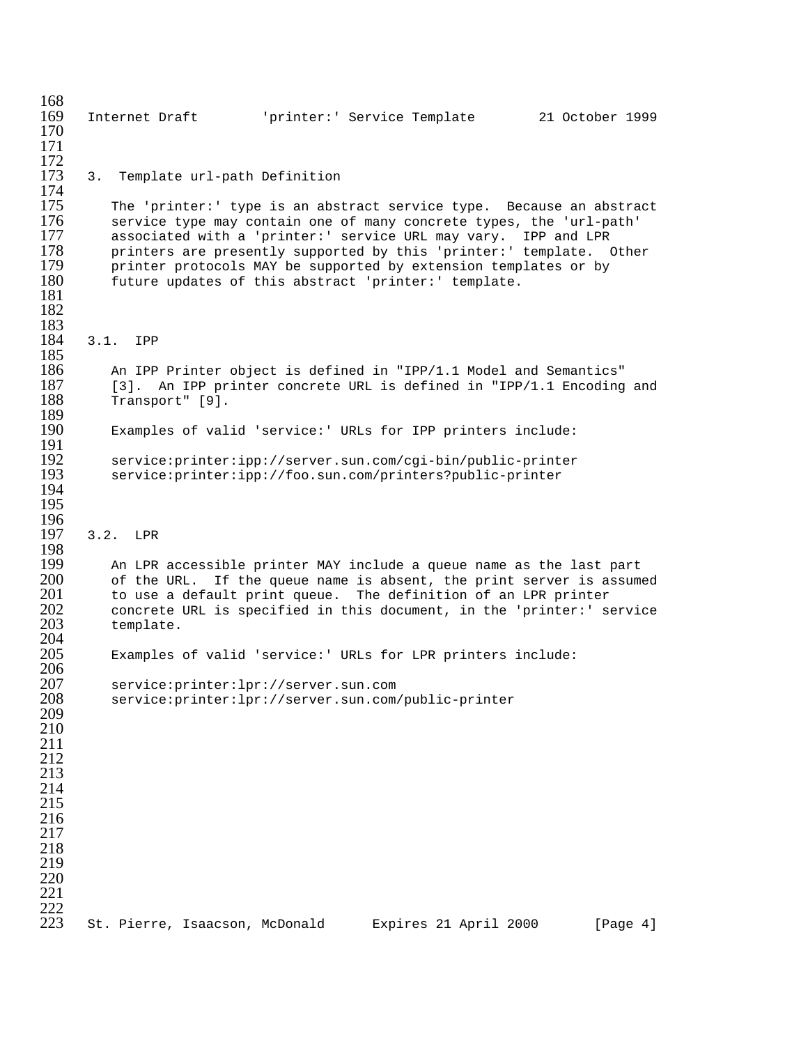168<br>169 169 Internet Draft 'printer:' Service Template 21 October 1999 170 171  $\frac{172}{173}$ 3. Template url-path Definition 174<br>175 175 The 'printer:' type is an abstract service type. Because an abstract<br>176 Service type may contain one of many concrete types, the 'url-path' 176 service type may contain one of many concrete types, the 'url-path'<br>177 associated with a 'printer:' service URL may vary. IPP and LPR 177 associated with a 'printer:' service URL may vary. IPP and LPR<br>178 printers are presently supported by this 'printer:' template. 178 printers are presently supported by this 'printer:' template. Other<br>179 printer protocols MAY be supported by extension templates or by printer protocols MAY be supported by extension templates or by 180 future updates of this abstract 'printer:' template. 181 182 183<br>184 3.1. IPP 185<br>186 186 An IPP Printer object is defined in "IPP/1.1 Model and Semantics"<br>187 [3]. An IPP printer concrete URL is defined in "IPP/1.1 Encoding 187 [3]. An IPP printer concrete URL is defined in "IPP/1.1 Encoding and 188 [13]. Transport" [9]. 189<br>190 Examples of valid 'service:' URLs for IPP printers include: 191<br>192 192 service:printer:ipp://server.sun.com/cgi-bin/public-printer service: printer: ipp://foo.sun.com/printers?public-printer 194 195 196<br>197 3.2. LPR 198<br>199 199 An LPR accessible printer MAY include a queue name as the last part<br>200 of the URL. If the queue name is absent, the print server is assume 200 of the URL. If the queue name is absent, the print server is assumed 201 to use a default print queue. The definition of an LPR printer 201 to use a default print queue. The definition of an LPR printer<br>202 concrete URL is specified in this document, in the 'printer:' s 202 concrete URL is specified in this document, in the 'printer:' service 203 template. template. 204 Examples of valid 'service:' URLs for LPR printers include: 206 207 service:printer:lpr://server.sun.com service: printer: lpr://server.sun.com/public-printer 209 210 211 212 213 214 215 216 217 218 219 220 221  $^{222}_{223}$ St. Pierre, Isaacson, McDonald Expires 21 April 2000 [Page 4]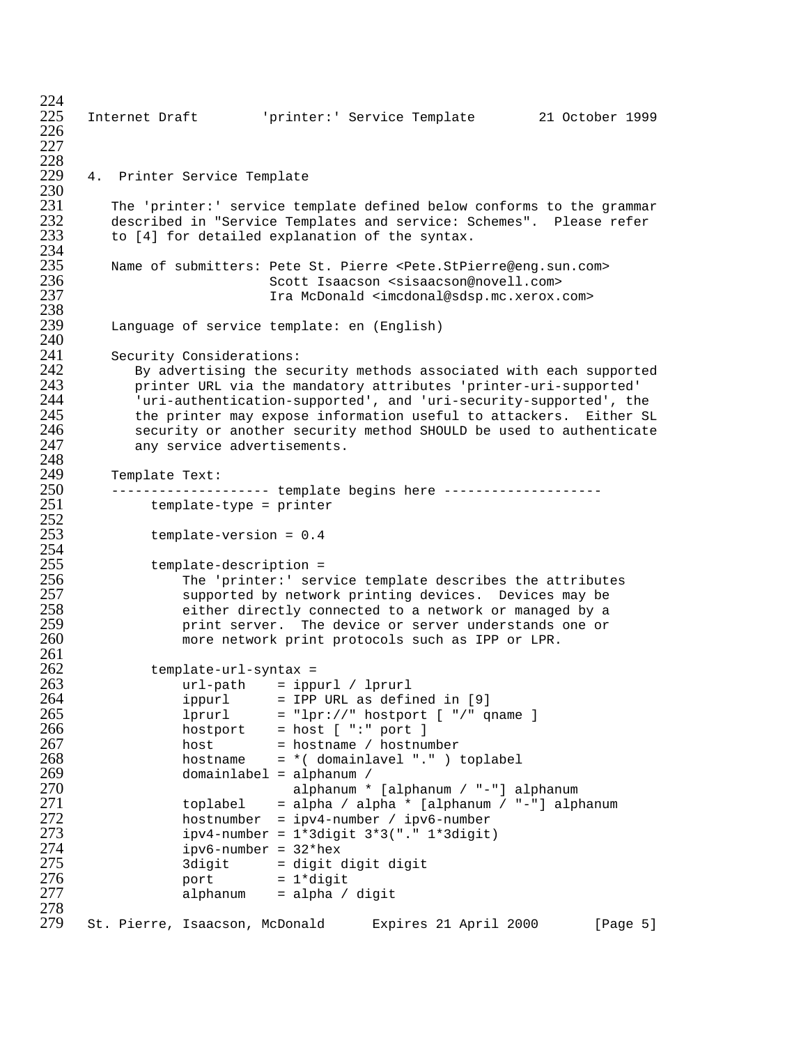$^{224}_{225}$ 225 Internet Draft 'printer:' Service Template 21 October 1999 226 227 228<br>229 4. Printer Service Template 230<br>231 231 The 'printer:' service template defined below conforms to the grammar<br>232 described in "Service Templates and service: Schemes". Please refer 232 described in "Service Templates and service: Schemes". Please refer<br>233 to [4] for detailed explanation of the syntax. to [4] for detailed explanation of the syntax. 234<br>235 235 Name of submitters: Pete St. Pierre <Pete.StPierre@eng.sun.com> 236 Scott Isaacson <sisaacson@novell.com> Ira McDonald <imcdonal@sdsp.mc.xerox.com> 238<br>239 Language of service template: en (English) 240<br>241 241 Security Considerations:<br>242 By advertising the se 242 By advertising the security methods associated with each supported 243 printer URL via the mandatory attributes 'printer-uri-supported' 244 'uri-authentication-supported', and 'uri-security-supported', the<br>245 the printer may expose information useful to attackers. Either SI 245 the printer may expose information useful to attackers. Either SL 246 security or another security method SHOULD be used to authenticate 246 security or another security method SHOULD be used to authenticate any service advertisements. 248<br>249 249 Template Text: 250 -------------------- template begins here ---------------------<br>251 template-type = printer template-type = printer  $\frac{252}{253}$  $template-version = 0.4$ 254<br>255 255 template-description =<br>256 The 'printer:' ser 256 The 'printer:' service template describes the attributes 257 supported by network printing devices. Devices may be 258 either directly connected to a network or managed by a 259 print server. The device or server understands one or more network print protocols such as IPP or LPR. 261<br>262 262 template-url-syntax =<br>263 url-path = ipp 263 url-path = ippurl / lprurl  $ippurl = IPP URL as defined in [9]$  $265$  lprurl = "lpr://" hostport [ "/" qname ]<br> $266$  hostport = host [ ":" port ] 266 hostport = host [ ":" port ] 267 host = hostname / hostnumber 268 hostname = \*( domainlavel "." ) toplabel 269 domainlabel = alphanum / 270 alphanum \* [alphanum / "-"] alphanum 271 toplabel = alpha / alpha \* [alphanum / "-"] alphanum<br>272 hostnumber = ipv4-number / ipv6-number 272 hostnumber = ipv4-number / ipv6-number<br>273 hostnumber = 1\*3digit 3\*3("." 1\*3digit 273 ipv4-number = 1\*3digit 3\*3("." 1\*3digit) 274 ipv6-number = 32\*hex 275 3digit = digit digit digit 276 port = 1\*digit  $alpha$ 197 alpha / digit 278<br>279 St. Pierre, Isaacson, McDonald Expires 21 April 2000 [Page 5]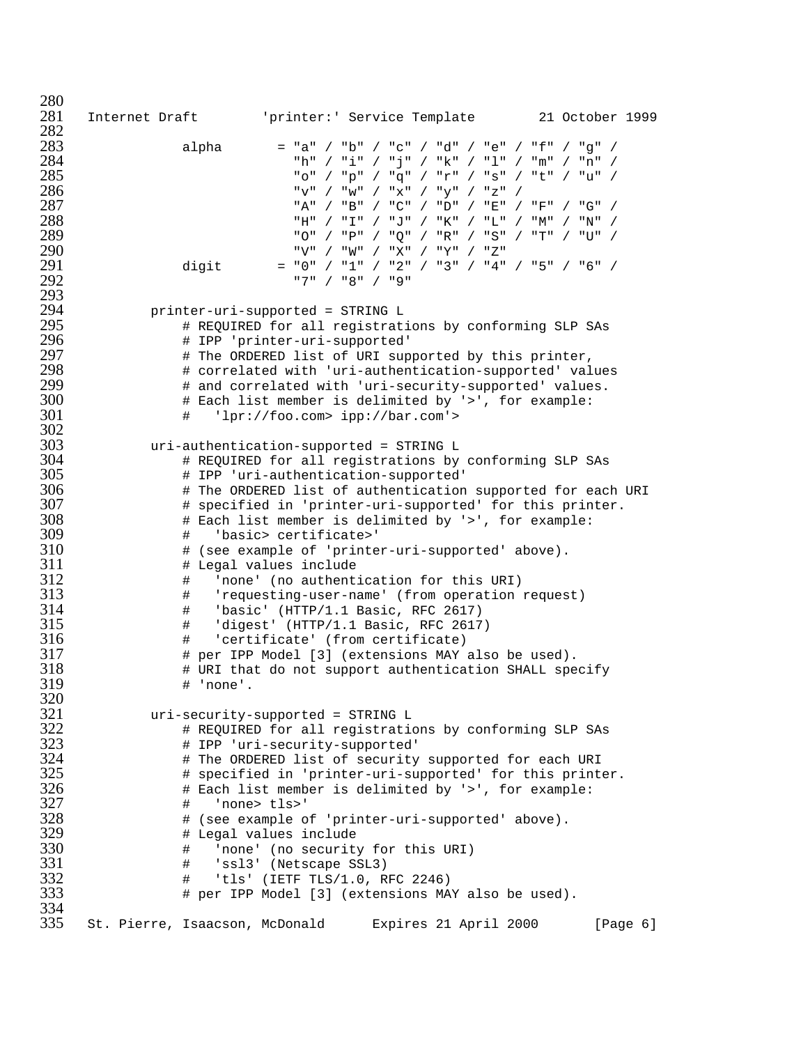Internet Draft 'printer:' Service Template 21 October 1999 282<br>283 alpha = "a" / "b" / "c" / "d" / "e" / "f" / "g" / "h" / "i" / "j" / "k" / "l" / "m" / "n" / "o" / "p" / "q" / "r" / "s" / "t" / "u" / "v" / "w" / "x" / "y" / "z" / "A" / "B" / "C" / "D" / "E" / "F" / "G" / "H" / "I" / "J" / "K" / "L" / "M" / "N" / "O" / "P" / "Q" / "R" / "S" / "T" / "U" / . "290 / "W" / "W" / "X" / "Y" / "Z"<br>291 / ∴atiqit / = "0" / "1" / "2" / "3" / "4" digit = "0" / "1" / "2" / "3" / "4" / "5" / "6" / "7" / "8" / "9" printer-uri-supported = STRING L # REQUIRED for all registrations by conforming SLP SAs # IPP 'printer-uri-supported' # The ORDERED list of URI supported by this printer, # correlated with 'uri-authentication-supported' values # and correlated with 'uri-security-supported' values. 300 # Each list member is delimited by '>', for example:<br>301 # 'lpr://foo.com> ipp://bar.com'> # 'lpr://foo.com> ipp://bar.com'> 302<br>303 uri-authentication-supported = STRING L # REQUIRED for all registrations by conforming SLP SAs # IPP 'uri-authentication-supported' # The ORDERED list of authentication supported for each URI # specified in 'printer-uri-supported' for this printer. # Each list member is delimited by '>', for example: # 'basic> certificate>' # (see example of 'printer-uri-supported' above). # Legal values include # 'none' (no authentication for this URI) # 'requesting-user-name' (from operation request) # 'basic' (HTTP/1.1 Basic, RFC 2617) # 'digest' (HTTP/1.1 Basic, RFC 2617) # 'certificate' (from certificate) # per IPP Model [3] (extensions MAY also be used).  $\qquad$  # URI that do not support authentication SHALL specify<br>319  $\qquad$  # 'none'. # 'none'. uri-security-supported = STRING L # REQUIRED for all registrations by conforming SLP SAs # IPP 'uri-security-supported' # The ORDERED list of security supported for each URI # specified in 'printer-uri-supported' for this printer. # Each list member is delimited by '>', for example: # 'none> tls>' 328 # (see example of 'printer-uri-supported' above).<br>329 # Legal values include # Legal values include # 'none' (no security for this URI) # 'ssl3' (Netscape SSL3) # 'tls' (IETF TLS/1.0, RFC 2246) # per IPP Model [3] (extensions MAY also be used). 334<br>335 St. Pierre, Isaacson, McDonald Expires 21 April 2000 [Page 6]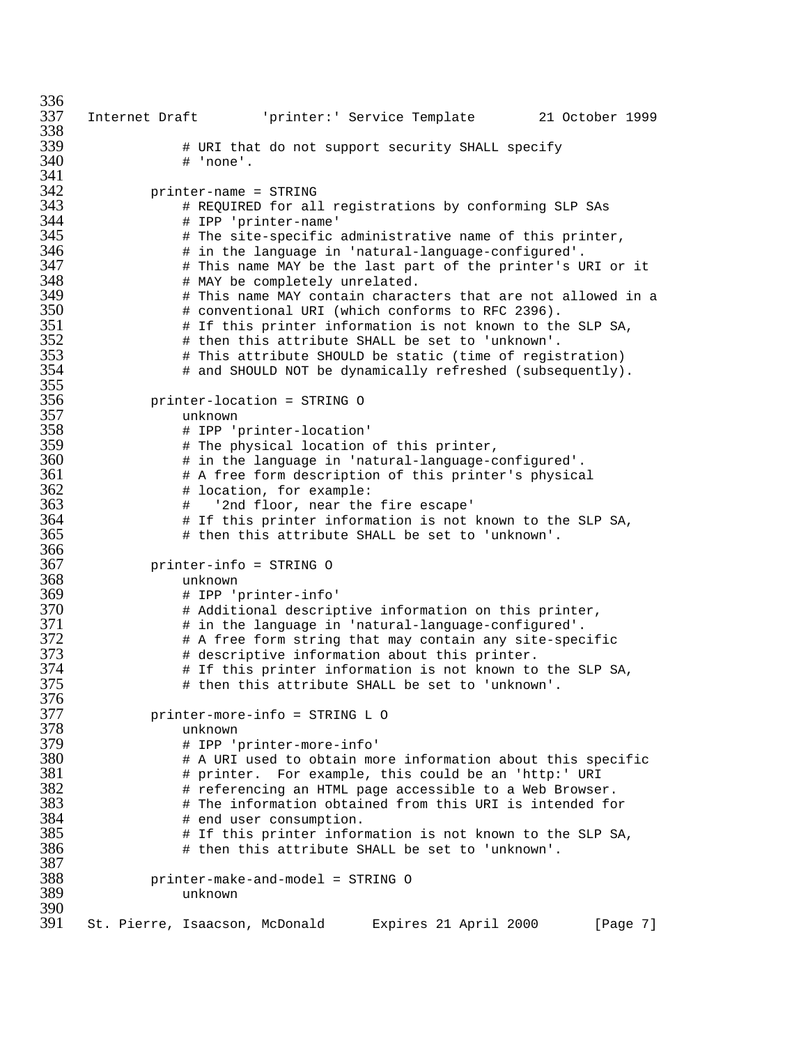```
336<br>337
     337 Internet Draft 'printer:' Service Template 21 October 1999
338<br>339
339 # URI that do not support security SHALL specify
                # 'none'.
341<br>342
342 printer-name = STRING
343 # REQUIRED for all registrations by conforming SLP SAs
344 # IPP 'printer-name'
345 \qquad # The site-specific administrative name of this printer,<br>346 \qquad # in the language in 'natural-language-configured'.
                # in the language in 'natural-language-configured'.
347 # This name MAY be the last part of the printer's URI or it
                # MAY be completely unrelated.
349 # This name MAY contain characters that are not allowed in a
350 # conventional URI (which conforms to RFC 2396).
351 \qquad # If this printer information is not known to the SLP SA, 352 \qquad # then this attribute SHALL be set to 'unknown'.
352 # then this attribute SHALL be set to 'unknown'.
353 # This attribute SHOULD be static (time of registration)
                # and SHOULD NOT be dynamically refreshed (subsequently).
355<br>356
356 printer-location = STRING O
357 unknown
358 # IPP 'printer-location'
359 # The physical location of this printer,
360 # in the language in 'natural-language-configured'.
361 # A free form description of this printer's physical
362 # location, for example:
363 # '2nd floor, near the fire escape'
364 # If this printer information is not known to the SLP SA,
                # then this attribute SHALL be set to 'unknown'.
366<br>367
367 printer-info = STRING O
368 unknown
369 # IPP 'printer-info'
370 # Additional descriptive information on this printer,
371 # in the language in 'natural-language-configured'.
372 # A free form string that may contain any site-specific
373 # descriptive information about this printer.
374 # If this printer information is not known to the SLP SA,
                # then this attribute SHALL be set to 'unknown'.
376<br>377
377 printer-more-info = STRING L O
378 unknown
379 # IPP 'printer-more-info'
380 \qquad # A URI used to obtain more information about this specific<br>381 \qquad # printer. For example, this could be an 'http:' URI
381 # printer. For example, this could be an 'http:' URI
382 \qquad # referencing an HTML page accessible to a Web Browser.<br>383 \qquad # The information obtained from this URI is intended fo
383 # The information obtained from this URI is intended for
384 # end user consumption.
385 \qquad # If this printer information is not known to the SLP SA, 386# then this attribute SHALL be set to 'unknown'.
387<br>388
388 printer-make-and-model = STRING O
                unknown
390<br>391
     St. Pierre, Isaacson, McDonald Expires 21 April 2000 [Page 7]
```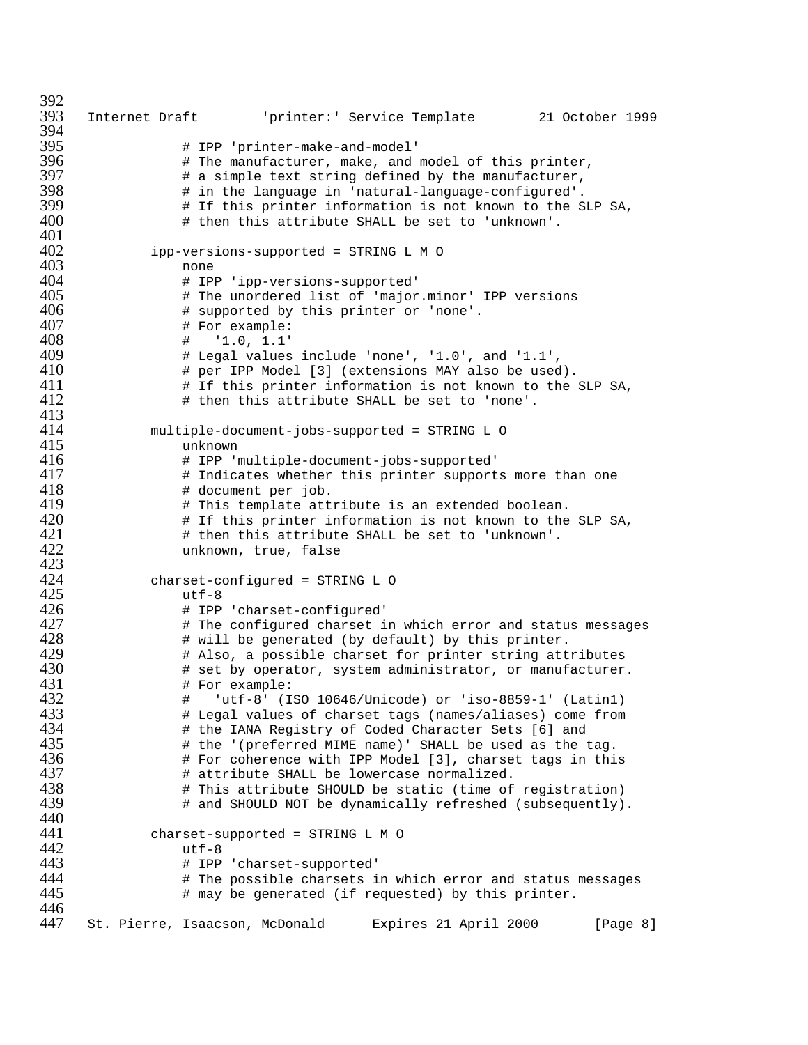```
392<br>393
      393 Internet Draft 'printer:' Service Template 21 October 1999
394<br>395
395 # IPP 'printer-make-and-model'
396 # The manufacturer, make, and model of this printer,
397 # a simple text string defined by the manufacturer,
398 # in the language in 'natural-language-configured'.
399 # If this printer information is not known to the SLP SA,<br>400 # then this attribute SHALL be set to 'unknown'.
                   # then this attribute SHALL be set to 'unknown'.
401<br>402
               ipp-versions-supported = STRING L M O403 none
404 # IPP 'ipp-versions-supported'
405 # The unordered list of 'major.minor' IPP versions
406 # supported by this printer or 'none'.
407 # For example:<br>408 # '1.0, 1.1'
408 # '1.0, 1.1'
409 \qquad # Legal values include 'none', '1.0', and '1.1',<br>410 \qquad # per IPP Model [3] (extensions MAY also be used
410 # per IPP Model [3] (extensions MAY also be used).<br>411 # If this printer information is not known to the
411 \# If this printer information is not known to the SLP SA,<br>412 \# then this attribute SHALL be set to 'none'.
                   # then this attribute SHALL be set to 'none'.
413<br>414
414 multiple-document-jobs-supported = STRING L O
415 unknown
416 # IPP 'multiple-document-jobs-supported'
417 \qquad # Indicates whether this printer supports more than one<br>418 \qquad # document per job.
418 # document per job.
419 \# This template attribute is an extended boolean.<br>420 \# If this printer information is not known to the
420 \# If this printer information is not known to the SLP SA,<br>421 \# then this attribute SHALL be set to 'unknown'.
421 # then this attribute SHALL be set to 'unknown'.
                   unknown, true, false
423<br>424
424 charset-configured = STRING L O
425 utf-8<br>426 # IPP
426 # IPP 'charset-configured'
427 \# The configured charset in which error and status messages 428 \# will be generated (by default) by this printer.
428 \qquad # will be generated (by default) by this printer.<br>429 \qquad # Also, a possible charset for printer string att:
429 + Also, a possible charset for printer string attributes<br>430 + set by operator, system administrator, or manufacturer
430 + set by operator, system administrator, or manufacturer.<br>431 + For example:
431 # For example:<br>432 # 'utf-8' (I
432 # 'utf-8' (ISO 10646/Unicode) or 'iso-8859-1' (Latin1)
433 # Legal values of charset tags (names/aliases) come from
434 # the IANA Registry of Coded Character Sets [6] and
435 # the '(preferred MIME name)' SHALL be used as the tag.
436 # For coherence with IPP Model [3], charset tags in this
437 # attribute SHALL be lowercase normalized.
438 + This attribute SHOULD be static (time of registration)<br>439 + and SHOULD NOT be dynamically refreshed (subsequently)
                   # and SHOULD NOT be dynamically refreshed (subsequently).
440<br>441
441 charset-supported = STRINGLMO
442 utf-8<br>443 # IPP
443 # IPP 'charset-supported'
444 \# The possible charsets in which error and status messages \# may be generated (if requested) by this printer.
                   # may be generated (if requested) by this printer.
446<br>447
      St. Pierre, Isaacson, McDonald Expires 21 April 2000 [Page 8]
```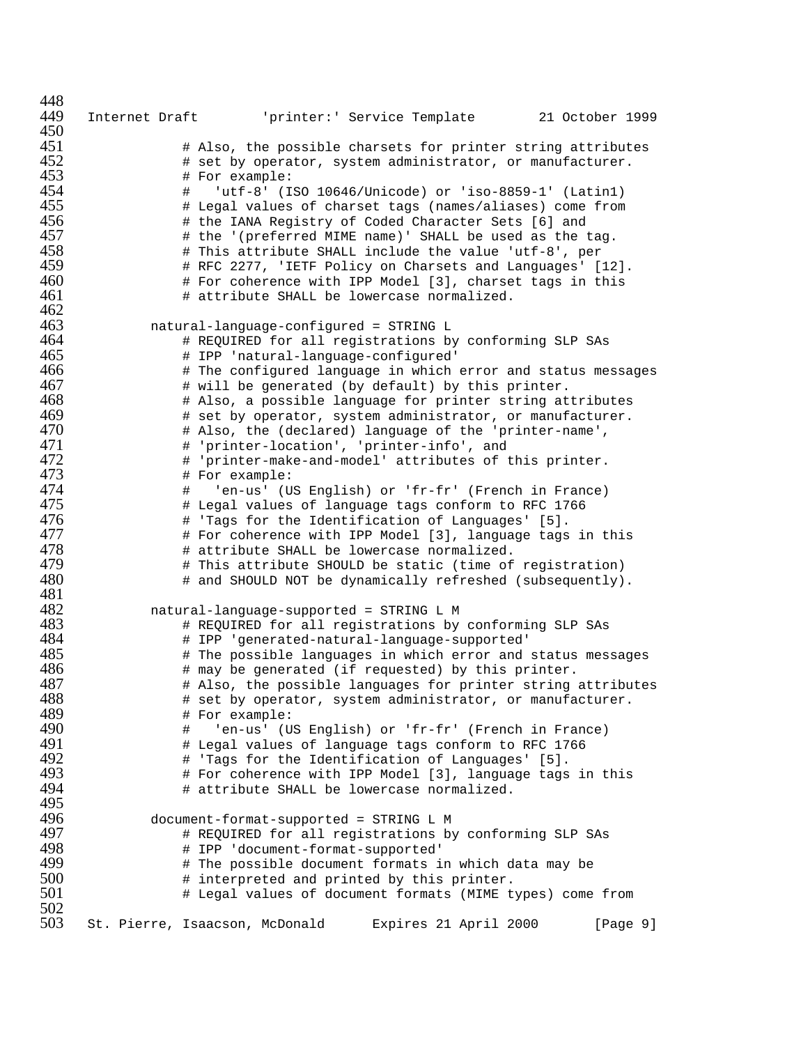| 448        |                                |                                                                                                     |                       |                                                              |
|------------|--------------------------------|-----------------------------------------------------------------------------------------------------|-----------------------|--------------------------------------------------------------|
| 449        |                                |                                                                                                     |                       | Internet Draft (printer: 'Service Template 21 October 1999   |
| 450        |                                |                                                                                                     |                       |                                                              |
| 451        |                                |                                                                                                     |                       | # Also, the possible charsets for printer string attributes  |
| 452        |                                |                                                                                                     |                       | # set by operator, system administrator, or manufacturer.    |
| 453        | # For example:                 |                                                                                                     |                       |                                                              |
| 454        | #                              | 'utf-8' (ISO 10646/Unicode) or 'iso-8859-1' (Latin1)                                                |                       |                                                              |
| 455        |                                |                                                                                                     |                       | # Legal values of charset tags (names/aliases) come from     |
| 456        |                                | # the IANA Registry of Coded Character Sets [6] and                                                 |                       |                                                              |
| 457        |                                | # the '(preferred MIME name)' SHALL be used as the tag.                                             |                       |                                                              |
| 458        |                                | # This attribute SHALL include the value 'utf-8', per                                               |                       |                                                              |
| 459        |                                |                                                                                                     |                       | # RFC 2277, 'IETF Policy on Charsets and Languages' [12].    |
| 460        |                                | # For coherence with IPP Model [3], charset tags in this                                            |                       |                                                              |
| 461        |                                | # attribute SHALL be lowercase normalized.                                                          |                       |                                                              |
| 462        |                                |                                                                                                     |                       |                                                              |
| 463        |                                | natural-language-configured = STRING L                                                              |                       |                                                              |
| 464        |                                | # REQUIRED for all registrations by conforming SLP SAs                                              |                       |                                                              |
| 465        |                                | # IPP 'natural-language-configured'                                                                 |                       |                                                              |
| 466        |                                |                                                                                                     |                       | # The configured language in which error and status messages |
| 467<br>468 |                                | # will be generated (by default) by this printer.                                                   |                       |                                                              |
| 469        |                                |                                                                                                     |                       | # Also, a possible language for printer string attributes    |
| 470        |                                |                                                                                                     |                       | # set by operator, system administrator, or manufacturer.    |
| 471        |                                | # Also, the (declared) language of the 'printer-name',<br># 'printer-location', 'printer-info', and |                       |                                                              |
| 472        |                                | # 'printer-make-and-model' attributes of this printer.                                              |                       |                                                              |
| 473        | # For example:                 |                                                                                                     |                       |                                                              |
| 474        | #                              | 'en-us' (US English) or 'fr-fr' (French in France)                                                  |                       |                                                              |
| 475        |                                | # Legal values of language tags conform to RFC 1766                                                 |                       |                                                              |
| 476        |                                | # 'Tags for the Identification of Languages' [5].                                                   |                       |                                                              |
| 477        |                                |                                                                                                     |                       | # For coherence with IPP Model [3], language tags in this    |
| 478        |                                | # attribute SHALL be lowercase normalized.                                                          |                       |                                                              |
| 479        |                                | # This attribute SHOULD be static (time of registration)                                            |                       |                                                              |
| 480        |                                |                                                                                                     |                       | # and SHOULD NOT be dynamically refreshed (subsequently).    |
| 481        |                                |                                                                                                     |                       |                                                              |
| 482        |                                | natural-language-supported = STRING L M                                                             |                       |                                                              |
| 483        |                                | # REQUIRED for all registrations by conforming SLP SAs                                              |                       |                                                              |
| 484        |                                | # IPP 'generated-natural-language-supported'                                                        |                       |                                                              |
| 485        |                                |                                                                                                     |                       | # The possible languages in which error and status messages  |
| 486        |                                | # may be generated (if requested) by this printer.                                                  |                       |                                                              |
| 487        |                                |                                                                                                     |                       | # Also, the possible languages for printer string attributes |
| 488        |                                |                                                                                                     |                       | # set by operator, system administrator, or manufacturer.    |
| 489        | # For example:                 |                                                                                                     |                       |                                                              |
| 490        | #                              | 'en-us' (US English) or 'fr-fr' (French in France)                                                  |                       |                                                              |
| 491        |                                | # Legal values of language tags conform to RFC 1766                                                 |                       |                                                              |
| 492        |                                | # 'Tags for the Identification of Languages' [5].                                                   |                       |                                                              |
| 493        |                                |                                                                                                     |                       | # For coherence with IPP Model [3], language tags in this    |
| 494        |                                | # attribute SHALL be lowercase normalized.                                                          |                       |                                                              |
| 495<br>496 |                                |                                                                                                     |                       |                                                              |
| 497        |                                | document-format-supported = STRING L M                                                              |                       |                                                              |
| 498        |                                | # REQUIRED for all registrations by conforming SLP SAs                                              |                       |                                                              |
| 499        |                                | # IPP 'document-format-supported'<br># The possible document formats in which data may be           |                       |                                                              |
| 500        |                                | # interpreted and printed by this printer.                                                          |                       |                                                              |
| 501        |                                |                                                                                                     |                       | # Legal values of document formats (MIME types) come from    |
| 502        |                                |                                                                                                     |                       |                                                              |
| 503        | St. Pierre, Isaacson, McDonald |                                                                                                     | Expires 21 April 2000 | [Page 9]                                                     |
|            |                                |                                                                                                     |                       |                                                              |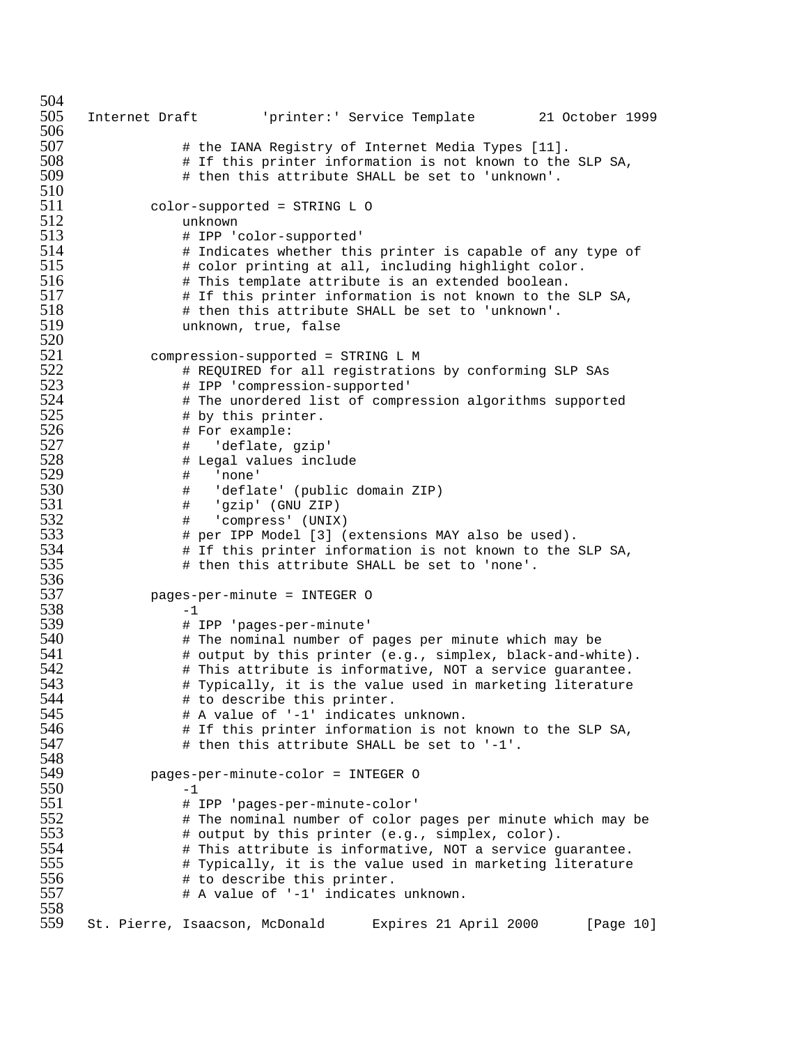```
504<br>505
     505 Internet Draft 'printer:' Service Template 21 October 1999
506<br>507
507 # the IANA Registry of Internet Media Types [11].
508 # If this printer information is not known to the SLP SA,
                 # then this attribute SHALL be set to 'unknown'.
\frac{510}{511}511 color-supported = STRING L O<br>512 unknown
512 unknown
513 # IPP 'color-supported'
                # Indicates whether this printer is capable of any type of
515 # color printing at all, including highlight color.<br>516 # This template attribute is an extended boolean.
                # This template attribute is an extended boolean.
517 # If this printer information is not known to the SLP SA,
518 # then this attribute SHALL be set to 'unknown'.
                unknown, true, false
520<br>521
521 compression-supported = STRING L M
522 # REQUIRED for all registrations by conforming SLP SAs
523 # IPP 'compression-supported'
524 # The unordered list of compression algorithms supported<br>525 # by this printer.
525 # by this printer.<br>526 # For example:
526 # For example:
527 # 'deflate, gzip'
528 # Legal values include
529 # 'none'
530 # 'deflate' (public domain ZIP)
531 # 'gzip' (GNU ZIP)
532 # 'compress' (UNIX)
533 # per IPP Model [3] (extensions MAY also be used).
534 # If this printer information is not known to the SLP SA,
                 # then this attribute SHALL be set to 'none'.
536<br>537
             537 pages-per-minute = INTEGER O
\frac{538}{539} -1<br>\frac{1}{4}]
539 # IPP 'pages-per-minute'
540 # The nominal number of pages per minute which may be
541 # output by this printer (e.g., simplex, black-and-white).
542 # This attribute is informative, NOT a service guarantee.
543 # Typically, it is the value used in marketing literature
544 # to describe this printer.
545 # A value of '-1' indicates unknown.
546 + If this printer information is not known to the SLP SA,<br>547 + then this attribute SHALL be set to '-1'.
                 # then this attribute SHALL be set to '-1'.
548<br>549
             549 pages-per-minute-color = INTEGER O
\frac{550}{551} -1<br>\frac{1}{1}551 # IPP 'pages-per-minute-color'
552 # The nominal number of color pages per minute which may be<br>553 # output by this printer (e.g., simplex, color).
553 # output by this printer (e.g., simplex, color).
554 # This attribute is informative, NOT a service guarantee.
555 \# Typically, it is the value used in marketing literature<br>556 \# to describe this printer.
556 # to describe this printer.
                 # A value of '-1' indicates unknown.
558<br>559
     559 St. Pierre, Isaacson, McDonald Expires 21 April 2000 [Page 10]
```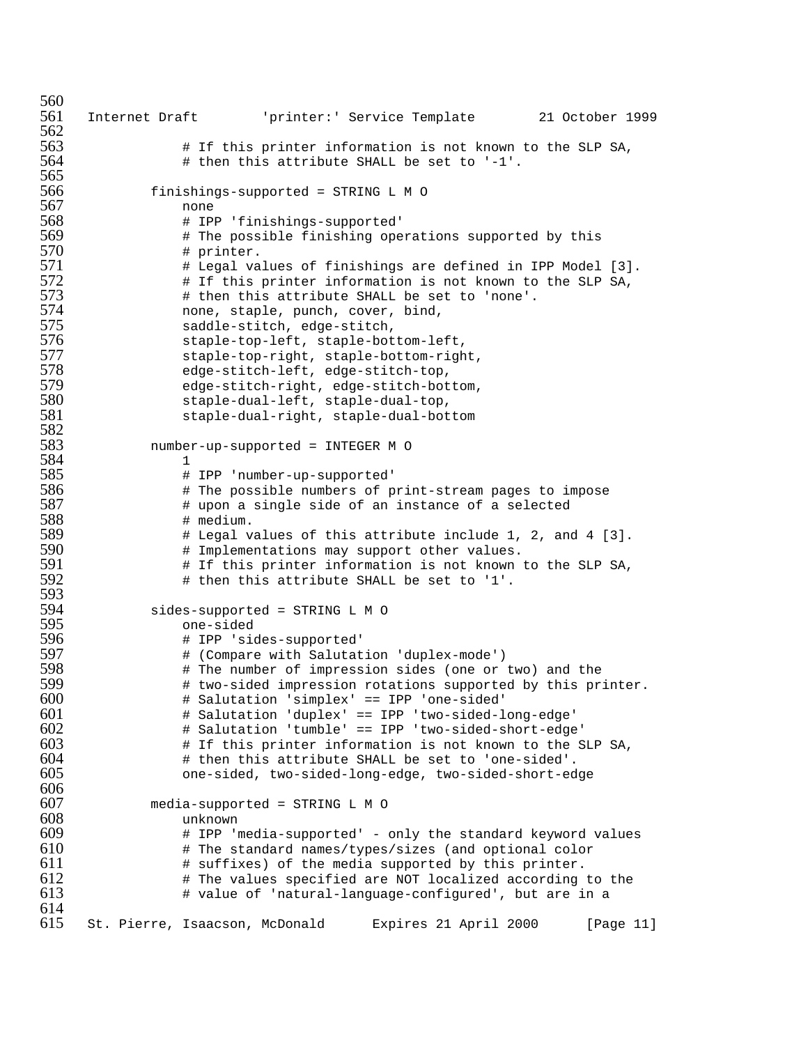```
560<br>561
     561 Internet Draft 'printer:' Service Template 21 October 1999
562<br>563
563 # If this printer information is not known to the SLP SA,
                 # then this attribute SHALL be set to '-1'.
565<br>566
566 finishings-supported = STRINGLMO
567 none<br>568 # 1Pl
568 # IPP 'finishings-supported'
569 # The possible finishing operations supported by this
                # printer.
571 Example 1 Legal values of finishings are defined in IPP Model [3].
572 # If this printer information is not known to the SLP SA,
                # then this attribute SHALL be set to 'none'.
574 none, staple, punch, cover, bind,<br>575 saddle-stitch, edge-stitch,
575 saddle-stitch, edge-stitch,
576 staple-top-left, staple-bottom-left,
577 staple-top-right, staple-bottom-right,<br>578 sedge-stitch-left, edge-stitch-top,
578 edge-stitch-left, edge-stitch-top,
579 edge-stitch-right, edge-stitch-bottom,
580 staple-dual-left, staple-dual-top,
                staple-dual-right, staple-dual-bottom
582<br>583
            583 number-up-supported = INTEGER M O
584 1<br>585 1
585 # IPP 'number-up-supported'
586 # The possible numbers of print-stream pages to impose
587 # upon a single side of an instance of a selected
588 # medium.<br>589 # Legal v
589 # Legal values of this attribute include 1, 2, and 4 [3].
590 # Implementations may support other values.
591 # If this printer information is not known to the SLP SA,
                 # then this attribute SHALL be set to '1'.
593<br>594
594 sides-supported = STRINGLMO
595 one-sided
596 # IPP 'sides-supported'
597 # (Compare with Salutation 'duplex-mode')
598 The number of impression sides (one or two) and the<br>599 The two-sided impression rotations supported by this pr.
                # two-sided impression rotations supported by this printer.
600 # Salutation 'simplex' == IPP 'one-sided'
601 # Salutation 'duplex' == IPP 'two-sided-long-edge'
602 # Salutation 'tumble' == IPP 'two-sided-short-edge'
603 \qquad # If this printer information is not known to the SLP SA, 604604 # then this attribute SHALL be set to 'one-sided'.
                605 one-sided, two-sided-long-edge, two-sided-short-edge
606<br>607
607 media-supported = STRING L M O<br>608 unknown
608 unknown
609 \# IPP 'media-supported' - only the standard keyword values<br>610 \# The standard names/types/sizes (and optional color
                # The standard names/types/sizes (and optional color
611 # suffixes) of the media supported by this printer.
612 \# The values specified are NOT localized according to the 613# value of 'natural-language-configured', but are in a
614<br>615615 St. Pierre, Isaacson, McDonald Expires 21 April 2000 [Page 11]
```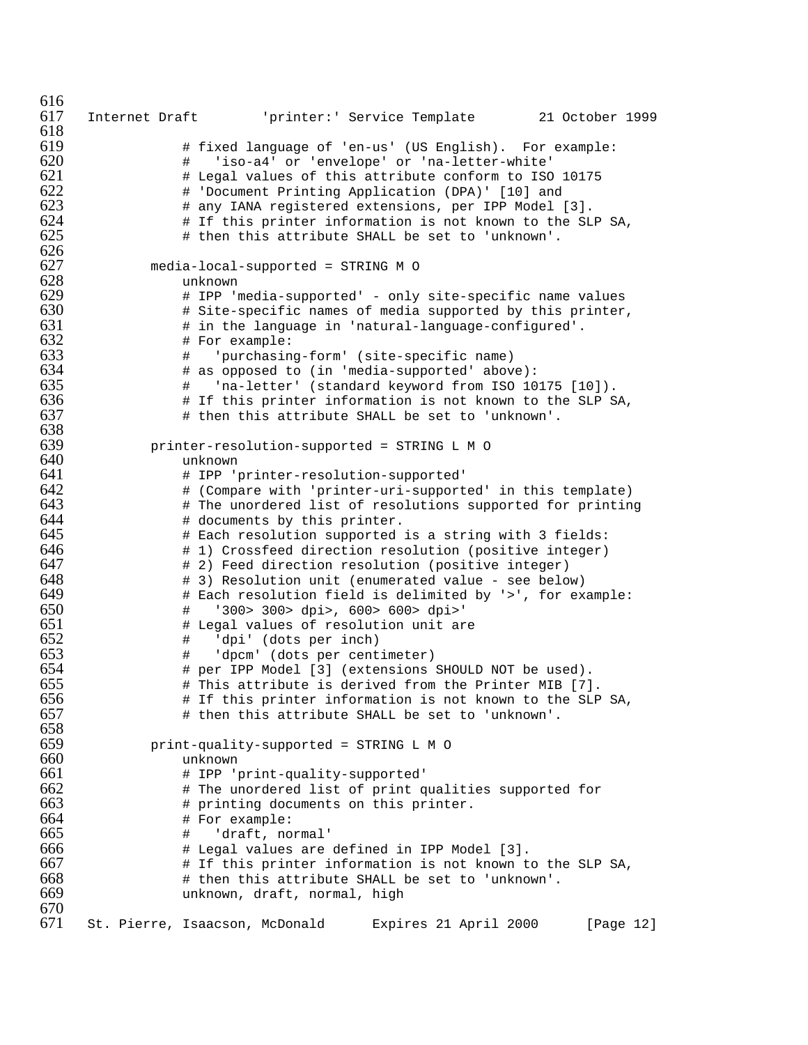```
616<br>617
      617 Internet Draft 'printer:' Service Template 21 October 1999
618
619 # fixed language of 'en-us' (US English). For example:
620 # 'iso-a4' or 'envelope' or 'na-letter-white'
621 + Legal values of this attribute conform to ISO 10175<br>622 + 'Document Printing Application (DPA)' [10] and
622 # 'Document Printing Application (DPA)' [10] and
623 # any IANA registered extensions, per IPP Model [3].<br>624 # If this printer information is not known to the SL
624 \# If this printer information is not known to the SLP SA,<br>625 \# then this attribute SHALL be set to 'unknown'.
                    # then this attribute SHALL be set to 'unknown'.
626
627 media-local-supported = STRING M O
628 unknown
                    # IPP 'media-supported' - only site-specific name values
630 + Site-specific names of media supported by this printer,<br>631 + in the language in 'natural-language-configured'.
631 # in the language in 'natural-language-configured'.<br>632 # For example:
632 # For example:<br>633 # 'purchasin
633 # 'purchasing-form' (site-specific name)
634 # as opposed to (in 'media-supported' above):<br>635 # 'na-letter' (standard keyword from ISO 10
635 # 'na-letter' (standard keyword from ISO 10175 [10]).
636 + If this printer information is not known to the SLP SA,<br>637 + then this attribute SHALL be set to 'unknown'.
                    # then this attribute SHALL be set to 'unknown'.
638
639 printer-resolution-supported = STRING L M O<br>640 unknown
640 unknown<br>641 # IPP ''
641 # IPP 'printer-resolution-supported'
642 # (Compare with 'printer-uri-supported' in this template)
643 # The unordered list of resolutions supported for printing<br>644 # documents by this printer.
644 # documents by this printer.<br>645 # Each resolution supported
645 # Each resolution supported is a string with 3 fields:<br>646 # 1) Crossfeed direction resolution (positive integer)
646 \qquad \qquad \qquad \qquad \qquad \qquad \qquad \qquad \qquad \qquad \qquad \qquad \qquad \qquad \qquad \qquad \qquad \qquad \qquad \qquad \qquad \qquad \qquad \qquad \qquad \qquad \qquad \qquad \qquad \qquad \qquad \qquad \qquad \qquad \qquad \qquad647 # 2) Feed direction resolution (positive integer)
648 # 3) Resolution unit (enumerated value - see below)
649 \# Each resolution field is delimited by '>', for example:<br>650 \# '300> 300> dpi>, 600> 600> dpi>'
650 # '300> 300> dpi>, 600> 600> dpi>'
651 # Legal values of resolution unit are<br>652 # 'dpi' (dots per inch)
652 # 'dpi' (dots per inch)
653 # 'dpcm' (dots per centimeter)<br>654 # per IPP Model [3] (extensions
654 # per IPP Model [3] (extensions SHOULD NOT be used).<br>655 # This attribute is derived from the Printer MIB [7]
                    # This attribute is derived from the Printer MIB [7].
656 # If this printer information is not known to the SLP SA,
657 # then this attribute SHALL be set to 'unknown'.
658
659 print-quality-supported = STRINGLMO
660 unknown<br>661 # 1PP '1
661 # IPP 'print-quality-supported'<br>662 # The unordered list of print q
662 # The unordered list of print qualities supported for 663 # printing documents on this printer.
663 # printing documents on this printer.<br>664 # For example:
664 # For example:
                    # 'draft, normal'
666 # Legal values are defined in IPP Model [3].
667 # If this printer information is not known to the SLP SA,
668 # then this attribute SHALL be set to 'unknown'.
                    unknown, draft, normal, high
670
      671 St. Pierre, Isaacson, McDonald Expires 21 April 2000 [Page 12]
```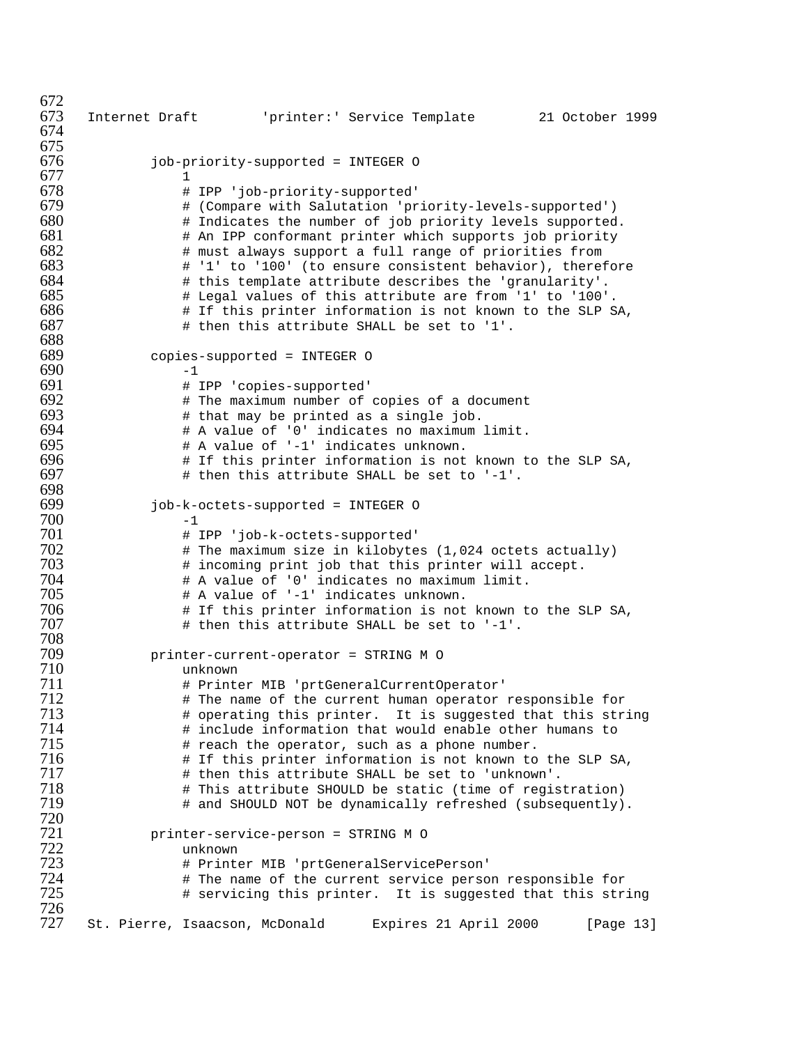672<br>673 Internet Draft 'printer:' Service Template 21 October 1999 job-priority-supported = INTEGER O 1<br>678 # # IPP 'job-priority-supported' # (Compare with Salutation 'priority-levels-supported') 680 # Indicates the number of job priority levels supported.<br>681 # An IPP conformant printer which supports job priority  $\#$  An IPP conformant printer which supports job priority  $682$   $\#$  must always support a full range of priorities from # must always support a full range of priorities from # '1' to '100' (to ensure consistent behavior), therefore # this template attribute describes the 'granularity'. # Legal values of this attribute are from '1' to '100'. 686  $+$  If this printer information is not known to the SLP SA,<br>687  $+$  then this attribute SHALL be set to '1'. # then this attribute SHALL be set to '1'. 688<br>689 copies-supported = INTEGER <br>-1 690<br>691 # IPP 'copies-supported' # The maximum number of copies of a document  $693$  # that may be printed as a single job. # that may be printed as a single job. # A value of '0' indicates no maximum limit. # A value of '-1' indicates unknown. 696  $\quad$  # If this printer information is not known to the SLP SA,<br>697  $\quad$  # then this attribute SHALL be set to '-1'. # then this attribute SHALL be set to '-1'. job-k-octets-supported = INTEGER O  $-1$ <br> $701$   $*$  # IPP 'job-k-octets-supported' # The maximum size in kilobytes (1,024 octets actually)<br> $703$  # incoming print job that this printer will accept. 703 # incoming print job that this printer will accept.<br>704 # A value of '0' indicates no maximum limit. # A value of '0' indicates no maximum limit. # A value of '-1' indicates unknown.  $\qquad$  # If this printer information is not known to the SLP SA,<br> $707$   $\qquad$  # then this attribute SHALL be set to '-1'. # then this attribute SHALL be set to '-1'. printer-current-operator = STRING M O unknown # Printer MIB 'prtGeneralCurrentOperator' # The name of the current human operator responsible for # operating this printer. It is suggested that this string  $\#$  include information that would enable other humans to  $715$   $\#$  reach the operator, such as a phone number. The the operator, such as a phone number.<br>The this printer information is not known to # If this printer information is not known to the SLP SA, # then this attribute SHALL be set to 'unknown'. # This attribute SHOULD be static (time of registration) # and SHOULD NOT be dynamically refreshed (subsequently). printer-service-person = STRING M O unknown # Printer MIB 'prtGeneralServicePerson' # The name of the current service person responsible for # servicing this printer. It is suggested that this string St. Pierre, Isaacson, McDonald Expires 21 April 2000 [Page 13]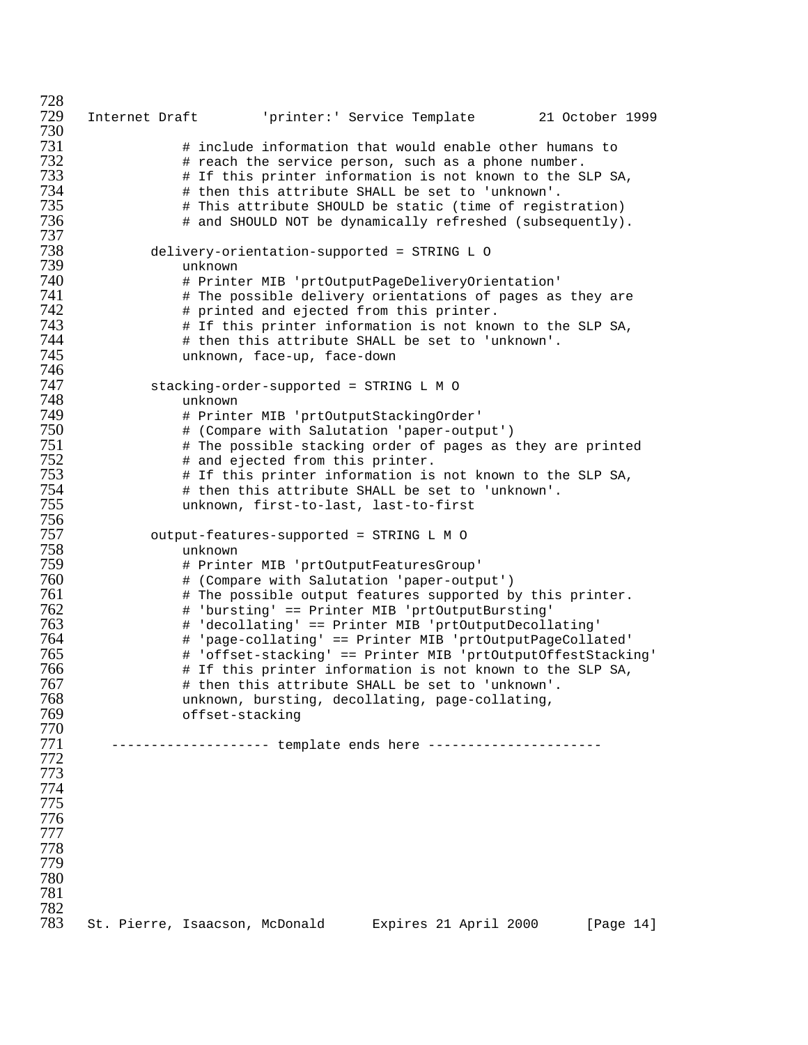Internet Draft 'printer:' Service Template 21 October 1999  $\#$  include information that would enable other humans to  $732$   $\#$  reach the service person, such as a phone number. # reach the service person, such as a phone number. # If this printer information is not known to the SLP SA, # then this attribute SHALL be set to 'unknown'. # This attribute SHOULD be static (time of registration) # and SHOULD NOT be dynamically refreshed (subsequently). delivery-orientation-supported = STRING L O unknown # Printer MIB 'prtOutputPageDeliveryOrientation' **\*\*** The possible delivery orientations of pages as they are 742 # printed and ejected from this printer.<br>743 # If this printer information is not know # If this printer information is not known to the SLP SA, # then this attribute SHALL be set to 'unknown'. unknown, face-up, face-down 747 stacking-order-supported = STRING L M O<br>748 unknown unknown # Printer MIB 'prtOutputStackingOrder' # (Compare with Salutation 'paper-output')  $\qquad$  # The possible stacking order of pages as they are printed<br> $752$   $\qquad$  # and ejected from this printer. # and ejected from this printer. # If this printer information is not known to the SLP SA, # then this attribute SHALL be set to 'unknown'. unknown, first-to-last, last-to-first output-features-supported = STRINGLMO unknown # Printer MIB 'prtOutputFeaturesGroup' # (Compare with Salutation 'paper-output')  $\#$  The possible output features supported by this printer.<br> $762$   $\#$  'bursting' == Printer MIB 'prtOutputBursting' # 'bursting' == Printer MIB 'prtOutputBursting' # 'decollating' == Printer MIB 'prtOutputDecollating' # 'page-collating' == Printer MIB 'prtOutputPageCollated' # 'offset-stacking' == Printer MIB 'prtOutputOffestStacking' # If this printer information is not known to the SLP SA, # then this attribute SHALL be set to 'unknown'. unknown, bursting, decollating, page-collating, offset-stacking ------------------- template ends here ---------------------- 782<br>783 St. Pierre, Isaacson, McDonald Expires 21 April 2000 [Page 14]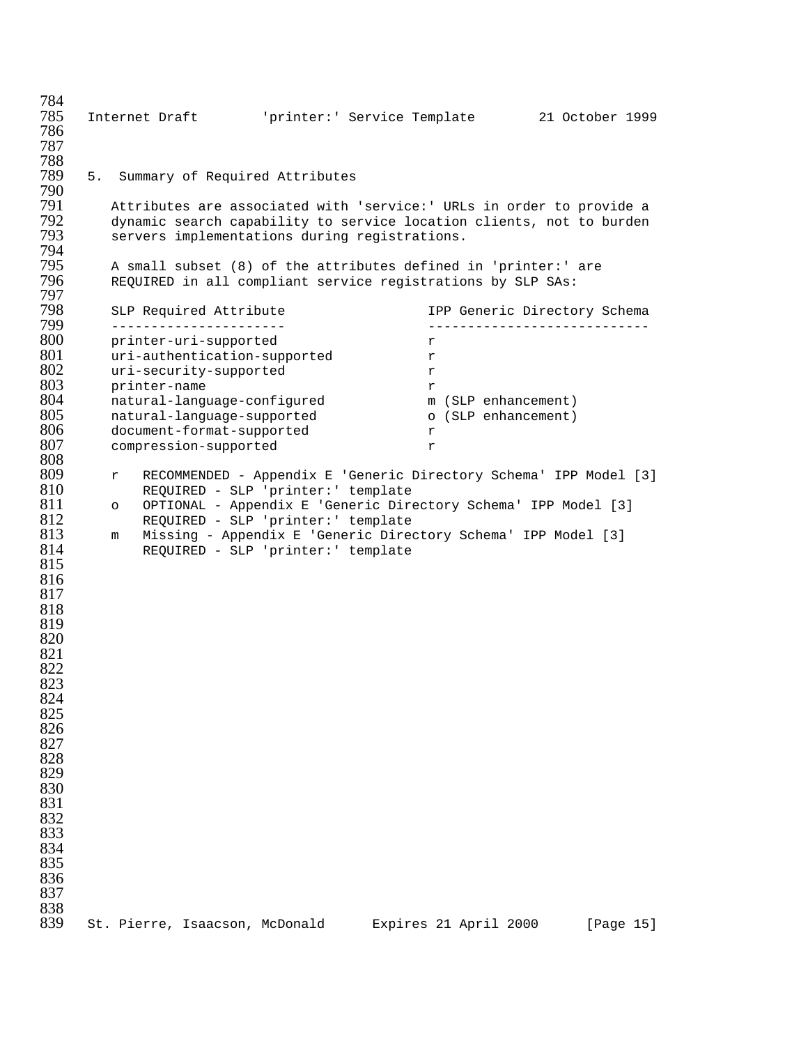| 784<br>785<br>786 |    |         |              |                                                   |                                | Internet Draft        'printer:' Service Template                                                                                            |   |                                                                | 21 October 1999 |           |  |
|-------------------|----|---------|--------------|---------------------------------------------------|--------------------------------|----------------------------------------------------------------------------------------------------------------------------------------------|---|----------------------------------------------------------------|-----------------|-----------|--|
| 787               |    |         |              |                                                   |                                |                                                                                                                                              |   |                                                                |                 |           |  |
| 788<br>789<br>790 | 5. |         |              |                                                   | Summary of Required Attributes |                                                                                                                                              |   |                                                                |                 |           |  |
| 791<br>792        |    |         |              |                                                   |                                | Attributes are associated with 'service:' URLs in order to provide a<br>dynamic search capability to service location clients, not to burden |   |                                                                |                 |           |  |
| 793<br>794        |    |         |              |                                                   |                                | servers implementations during registrations.                                                                                                |   |                                                                |                 |           |  |
| 795<br>796<br>797 |    |         |              |                                                   |                                | A small subset (8) of the attributes defined in 'printer:' are<br>REQUIRED in all compliant service registrations by SLP SAs:                |   |                                                                |                 |           |  |
| 798<br>799        |    |         |              | SLP Required Attribute<br>_______________________ |                                |                                                                                                                                              |   | IPP Generic Directory Schema<br>______________________________ |                 |           |  |
| 800               |    |         |              | printer-uri-supported                             |                                |                                                                                                                                              | r |                                                                |                 |           |  |
| 801               |    |         |              |                                                   | uri-authentication-supported   |                                                                                                                                              | r |                                                                |                 |           |  |
| 802               |    |         |              | uri-security-supported                            |                                |                                                                                                                                              | r |                                                                |                 |           |  |
| 803               |    |         | printer-name |                                                   |                                |                                                                                                                                              | r |                                                                |                 |           |  |
| 804               |    |         |              |                                                   | natural-language-configured    |                                                                                                                                              |   | m (SLP enhancement)                                            |                 |           |  |
| 805               |    |         |              |                                                   | natural-language-supported     |                                                                                                                                              |   | o (SLP enhancement)                                            |                 |           |  |
| 806               |    |         |              |                                                   | document-format-supported      |                                                                                                                                              | r |                                                                |                 |           |  |
| 807               |    |         |              | compression-supported                             |                                |                                                                                                                                              | r |                                                                |                 |           |  |
| 808               |    |         |              |                                                   |                                |                                                                                                                                              |   |                                                                |                 |           |  |
| 809               |    | r       |              |                                                   |                                | RECOMMENDED - Appendix E 'Generic Directory Schema' IPP Model [3]                                                                            |   |                                                                |                 |           |  |
| 810               |    |         |              |                                                   |                                | REQUIRED - SLP 'printer:' template                                                                                                           |   |                                                                |                 |           |  |
| 811               |    | $\circ$ |              |                                                   |                                | OPTIONAL - Appendix E 'Generic Directory Schema' IPP Model [3]                                                                               |   |                                                                |                 |           |  |
| 812               |    |         |              |                                                   |                                | REQUIRED - SLP 'printer:' template                                                                                                           |   |                                                                |                 |           |  |
| 813               |    | m       |              |                                                   |                                | Missing - Appendix E 'Generic Directory Schema' IPP Model [3]                                                                                |   |                                                                |                 |           |  |
| 814               |    |         |              |                                                   |                                | REQUIRED - SLP 'printer:' template                                                                                                           |   |                                                                |                 |           |  |
| 815               |    |         |              |                                                   |                                |                                                                                                                                              |   |                                                                |                 |           |  |
| 816               |    |         |              |                                                   |                                |                                                                                                                                              |   |                                                                |                 |           |  |
| 817               |    |         |              |                                                   |                                |                                                                                                                                              |   |                                                                |                 |           |  |
| 818               |    |         |              |                                                   |                                |                                                                                                                                              |   |                                                                |                 |           |  |
| 819               |    |         |              |                                                   |                                |                                                                                                                                              |   |                                                                |                 |           |  |
| 820               |    |         |              |                                                   |                                |                                                                                                                                              |   |                                                                |                 |           |  |
| 821               |    |         |              |                                                   |                                |                                                                                                                                              |   |                                                                |                 |           |  |
| 822               |    |         |              |                                                   |                                |                                                                                                                                              |   |                                                                |                 |           |  |
| 823               |    |         |              |                                                   |                                |                                                                                                                                              |   |                                                                |                 |           |  |
| 824               |    |         |              |                                                   |                                |                                                                                                                                              |   |                                                                |                 |           |  |
| 825               |    |         |              |                                                   |                                |                                                                                                                                              |   |                                                                |                 |           |  |
| 826               |    |         |              |                                                   |                                |                                                                                                                                              |   |                                                                |                 |           |  |
| 827               |    |         |              |                                                   |                                |                                                                                                                                              |   |                                                                |                 |           |  |
| 828               |    |         |              |                                                   |                                |                                                                                                                                              |   |                                                                |                 |           |  |
| 829               |    |         |              |                                                   |                                |                                                                                                                                              |   |                                                                |                 |           |  |
| 830               |    |         |              |                                                   |                                |                                                                                                                                              |   |                                                                |                 |           |  |
| 831               |    |         |              |                                                   |                                |                                                                                                                                              |   |                                                                |                 |           |  |
| 832               |    |         |              |                                                   |                                |                                                                                                                                              |   |                                                                |                 |           |  |
| 833               |    |         |              |                                                   |                                |                                                                                                                                              |   |                                                                |                 |           |  |
| 834               |    |         |              |                                                   |                                |                                                                                                                                              |   |                                                                |                 |           |  |
| 835               |    |         |              |                                                   |                                |                                                                                                                                              |   |                                                                |                 |           |  |
| 836               |    |         |              |                                                   |                                |                                                                                                                                              |   |                                                                |                 |           |  |
| 837               |    |         |              |                                                   |                                |                                                                                                                                              |   |                                                                |                 |           |  |
| 838<br>839        |    |         |              |                                                   | St. Pierre, Isaacson, McDonald |                                                                                                                                              |   | Expires 21 April 2000                                          |                 | [Page 15] |  |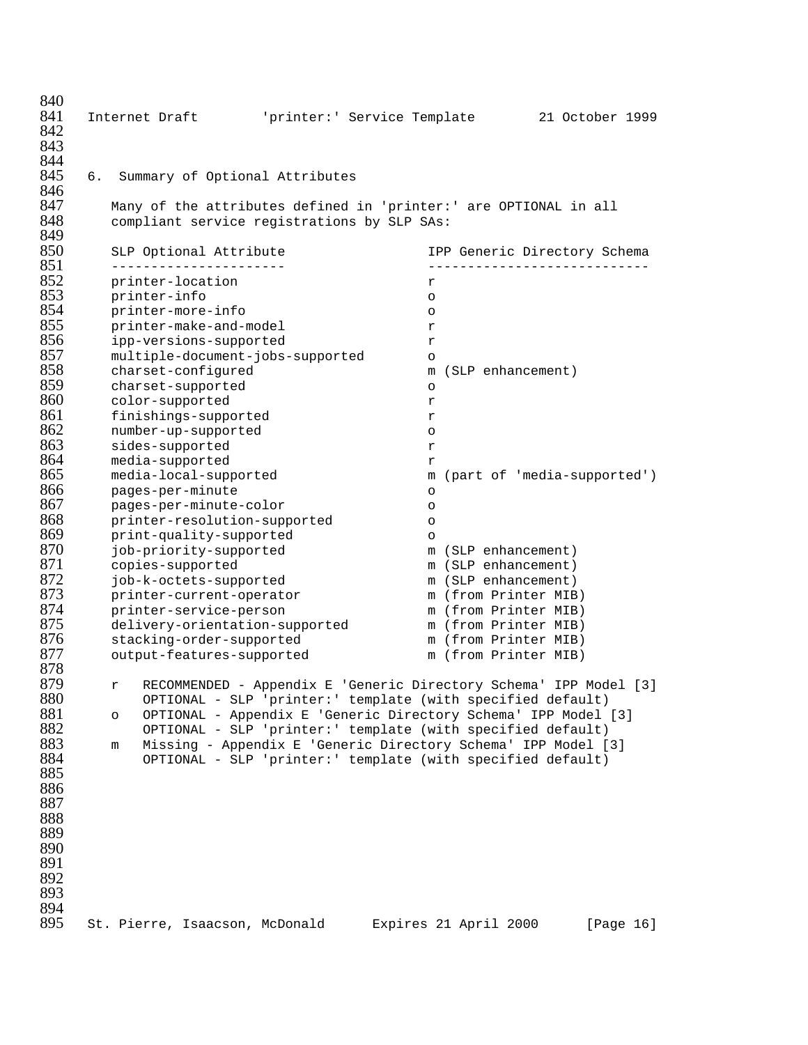| 840<br>841<br>842<br>843<br>844 |    | Internet Draft                                                                                                  | 'printer:' Service Template |                       | 21 October 1999                                                   |  |
|---------------------------------|----|-----------------------------------------------------------------------------------------------------------------|-----------------------------|-----------------------|-------------------------------------------------------------------|--|
| 845<br>846                      | б. | Summary of Optional Attributes                                                                                  |                             |                       |                                                                   |  |
| 847<br>848<br>849               |    | Many of the attributes defined in 'printer:' are OPTIONAL in all<br>compliant service registrations by SLP SAs: |                             |                       |                                                                   |  |
| 850<br>851                      |    | SLP Optional Attribute<br>-----------------                                                                     |                             |                       | IPP Generic Directory Schema                                      |  |
| 852                             |    | printer-location                                                                                                |                             | r                     |                                                                   |  |
| 853                             |    | printer-info                                                                                                    |                             | $\circ$               |                                                                   |  |
| 854                             |    | printer-more-info                                                                                               |                             | $\circ$               |                                                                   |  |
| 855                             |    | printer-make-and-model                                                                                          |                             | r                     |                                                                   |  |
| 856                             |    | ipp-versions-supported                                                                                          |                             | r                     |                                                                   |  |
| 857                             |    | multiple-document-jobs-supported                                                                                |                             | $\circ$               |                                                                   |  |
| 858                             |    | charset-configured                                                                                              |                             | m                     | (SLP enhancement)                                                 |  |
| 859                             |    | charset-supported                                                                                               |                             | $\circ$               |                                                                   |  |
| 860                             |    | color-supported                                                                                                 |                             | r                     |                                                                   |  |
| 861                             |    | finishings-supported                                                                                            |                             | r                     |                                                                   |  |
| 862                             |    | number-up-supported                                                                                             |                             | $\circ$               |                                                                   |  |
| 863                             |    | sides-supported                                                                                                 |                             | r                     |                                                                   |  |
| 864                             |    | media-supported                                                                                                 |                             | r                     |                                                                   |  |
| 865                             |    | media-local-supported                                                                                           |                             |                       | m (part of 'media-supported')                                     |  |
| 866                             |    | pages-per-minute                                                                                                |                             | $\circ$               |                                                                   |  |
| 867                             |    | pages-per-minute-color                                                                                          |                             | $\circ$               |                                                                   |  |
| 868                             |    | printer-resolution-supported                                                                                    |                             | $\circ$               |                                                                   |  |
| 869                             |    | print-quality-supported                                                                                         |                             | $\circ$               |                                                                   |  |
| 870                             |    | job-priority-supported                                                                                          |                             |                       | m (SLP enhancement)                                               |  |
| 871                             |    | copies-supported                                                                                                |                             |                       | m (SLP enhancement)                                               |  |
| 872                             |    | job-k-octets-supported                                                                                          |                             |                       | m (SLP enhancement)                                               |  |
| 873                             |    | printer-current-operator                                                                                        |                             |                       | m (from Printer MIB)                                              |  |
| 874                             |    | printer-service-person                                                                                          |                             |                       | m (from Printer MIB)                                              |  |
| 875                             |    | delivery-orientation-supported                                                                                  |                             |                       | m (from Printer MIB)                                              |  |
| 876<br>877                      |    | stacking-order-supported                                                                                        |                             |                       | m (from Printer MIB)                                              |  |
| 878                             |    | output-features-supported                                                                                       |                             |                       | m (from Printer MIB)                                              |  |
| 879                             |    |                                                                                                                 |                             |                       | RECOMMENDED - Appendix E 'Generic Directory Schema' IPP Model [3] |  |
| 880                             |    | r<br>OPTIONAL - SLP 'printer:' template (with specified default)                                                |                             |                       |                                                                   |  |
| 881                             |    | $\circ$                                                                                                         |                             |                       | OPTIONAL - Appendix E 'Generic Directory Schema' IPP Model [3]    |  |
| 882                             |    | OPTIONAL - SLP 'printer:' template (with specified default)                                                     |                             |                       |                                                                   |  |
| 883                             |    | m                                                                                                               |                             |                       | Missing - Appendix E 'Generic Directory Schema' IPP Model [3]     |  |
| 884                             |    | OPTIONAL - SLP 'printer:' template (with specified default)                                                     |                             |                       |                                                                   |  |
| 885                             |    |                                                                                                                 |                             |                       |                                                                   |  |
| 886                             |    |                                                                                                                 |                             |                       |                                                                   |  |
| 887                             |    |                                                                                                                 |                             |                       |                                                                   |  |
| 888                             |    |                                                                                                                 |                             |                       |                                                                   |  |
| 889                             |    |                                                                                                                 |                             |                       |                                                                   |  |
| 890                             |    |                                                                                                                 |                             |                       |                                                                   |  |
| 891                             |    |                                                                                                                 |                             |                       |                                                                   |  |
| 892                             |    |                                                                                                                 |                             |                       |                                                                   |  |
| 893                             |    |                                                                                                                 |                             |                       |                                                                   |  |
| 894                             |    |                                                                                                                 |                             |                       |                                                                   |  |
| 895                             |    | St. Pierre, Isaacson, McDonald                                                                                  |                             | Expires 21 April 2000 | [Page 16]                                                         |  |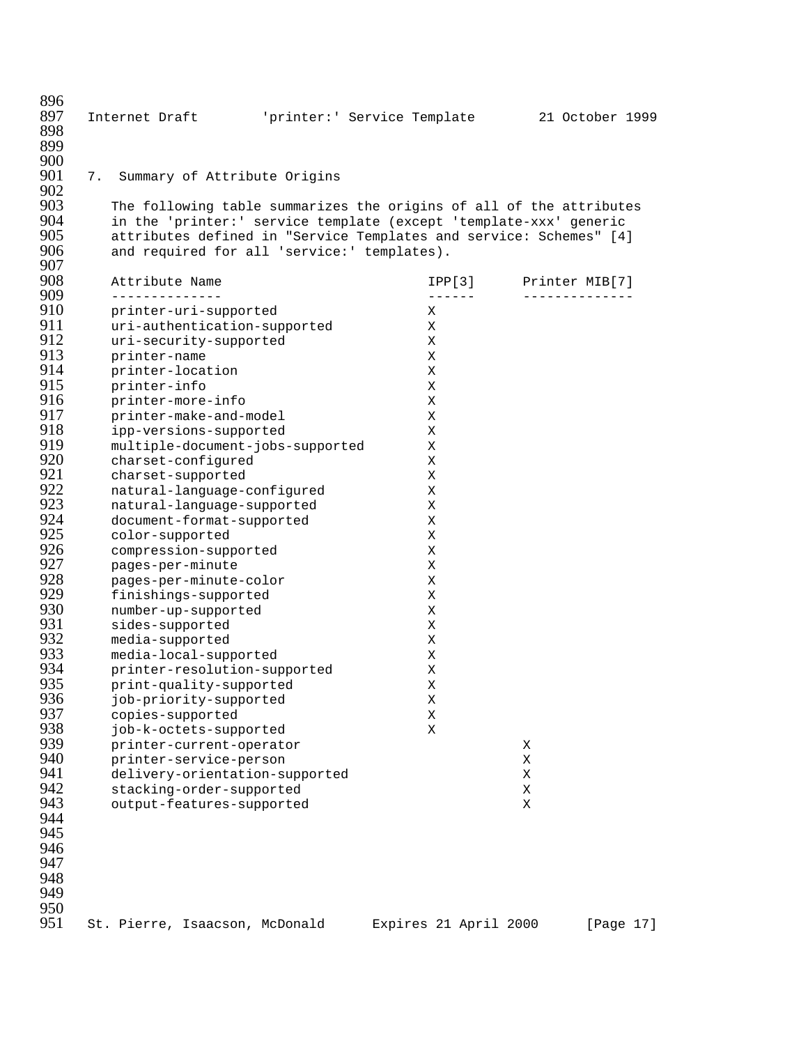896<br>897 897 Internet Draft 'printer:' Service Template 21 October 1999 898 899 900<br>901 7. Summary of Attribute Origins 902<br>903 903 The following table summarizes the origins of all of the attributes<br>904 The 'printer:' service template (except 'template-xxx' generic 904 in the 'printer:' service template (except 'template-xxx' generic 905 attributes defined in "Service Templates and service: Schemes" [4]<br>906 and required for all 'service:' templates). and required for all 'service:' templates). 907<br>908 908 Attribute Name IPP[3] Printer MIB[7] 909 -------------- ------ -------------- 910 printer-uri-supported X 911 uri-authentication-supported X 912 uri-security-supported X<br>913 printer-name X 913 printer-name X<br>914 printer-location X 914 printer-location X<br>915 printer-info X 915 printer-info X<br>916 printer-more-info X 916 printer-more-info X<br>917 printer-make-and-model X 917 printer-make-and-model X 918 ipp-versions-supported X 919 multiple-document-jobs-supported X<br>920 charset-configured X 920 charset-configured<br>921 charset-supported 921 charset-supported X<br>922 natural-language-configured X 922 natural-language-configured X 923 natural-language-supported X 924 document-format-supported X<br>925 color-supported X 925 color-supported X<br>926 compression-supported X 926 compression-supported X<br>927 pages-per-minute X 927 pages-per-minute X 928 pages-per-minute-color X 929 finishings-supported X 930 number-up-supported X 931 sides-supported X<br>932 media-supported X 932 media-supported X<br>933 media-local-supported X 933 media-local-supported X 934 printer-resolution-supported<br>935 print-quality-supported 935 print-quality-supported X<br>936 job-priority-supported X 936 job-priority-supported X 937 copies-supported X 938 job-k-octets-supported X<br>939 printer-current-operator 939 printer-current-operator X 940 printer-service-person X 941 delivery-orientation-supported X<br>942 stacking-order-supported X 942 stacking-order-supported X<br>943 output-features-supported X output-features-supported X 944 945 946 947 948 949 950<br>951

951 St. Pierre, Isaacson, McDonald Expires 21 April 2000 [Page 17]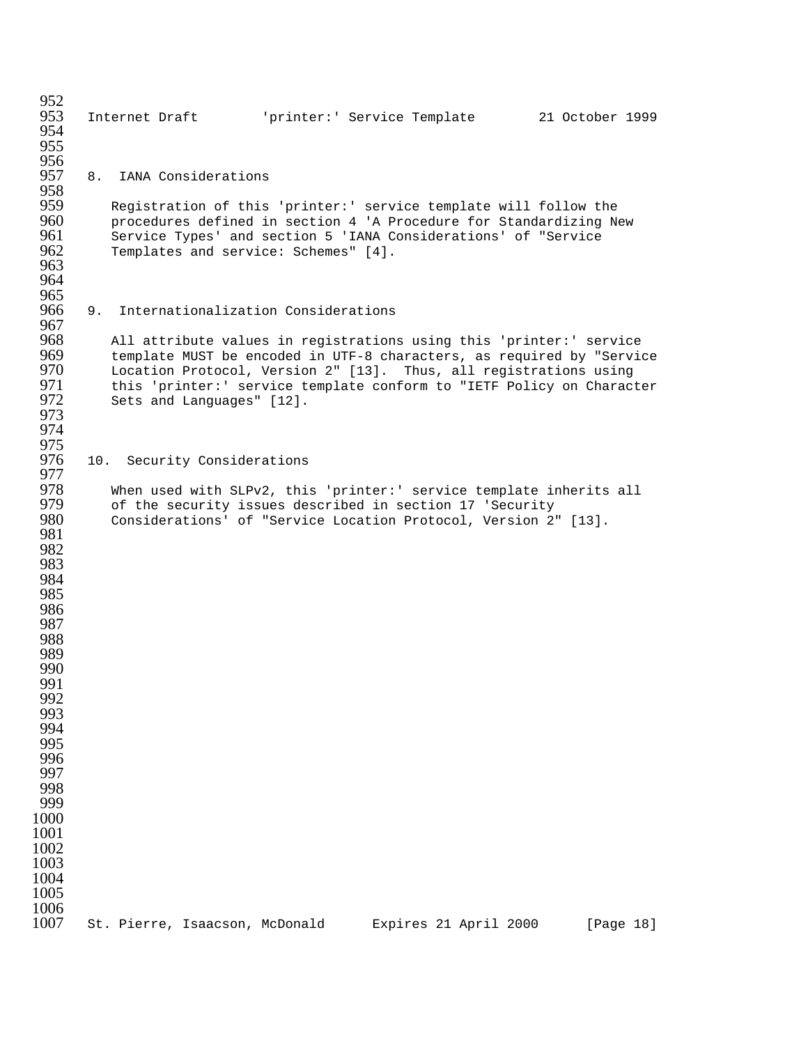952<br>953 Internet Draft 'printer:' Service Template 21 October 1999 956<br>957 8. IANA Considerations 958<br>959 Registration of this 'printer:' service template will follow the 960 procedures defined in section 4 'A Procedure for Standardizing New<br>961 Service Types' and section 5 'IANA Considerations' of "Service 961 Service Types' and section 5 'IANA Considerations' of "Service<br>962 Templates and service: Schemes" [4]. Templates and service: Schemes" [4]. 9. Internationalization Considerations 967<br>968 All attribute values in registrations using this 'printer:' service 969 template MUST be encoded in UTF-8 characters, as required by "Service<br>970 Location Protocol, Version 2" [13]. Thus, all registrations using 970 Location Protocol, Version 2" [13]. Thus, all registrations using<br>971 this 'printer:' service template conform to "IETF Policy on Charact 971 this 'printer:' service template conform to "IETF Policy on Character<br>972 Sets and Languages" [12]. Sets and Languages" [12]. 975<br>976 10. Security Considerations 977<br>978 When used with SLPv2, this 'printer:' service template inherits all of the security issues described in section 17 'Security Considerations' of "Service Location Protocol, Version 2" [13]. 1006<br>1007 St. Pierre, Isaacson, McDonald Expires 21 April 2000 [Page 18]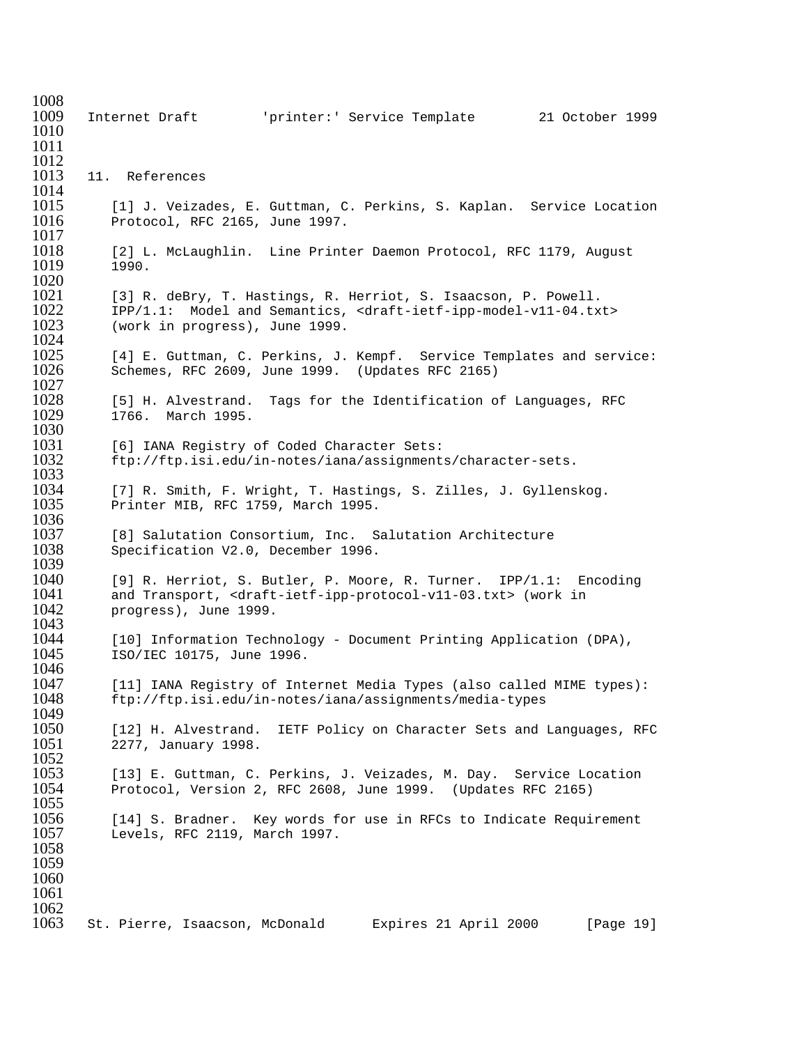1008<br>1009 1009 Internet Draft 'printer:' Service Template 21 October 1999 1010 1011 1012<br>1013 11. References 1014<br>1015 1015 [1] J. Veizades, E. Guttman, C. Perkins, S. Kaplan. Service Location 1016 Protocol. RFC 2165. June 1997. Protocol, RFC 2165, June 1997. 1017<br>1018 1018 [2] L. McLaughlin. Line Printer Daemon Protocol, RFC 1179, August<br>1019 1990. 1990. 1020<br>1021 [3] R. deBry, T. Hastings, R. Herriot, S. Isaacson, P. Powell. 1022 IPP/1.1: Model and Semantics, <draft-ietf-ipp-model-v11-04.txt><br>1023 (work in progress), June 1999. (work in progress), June 1999. 1024<br>1025 1025 [4] E. Guttman, C. Perkins, J. Kempf. Service Templates and service:<br>1026 Schemes, RFC 2609, June 1999. (Updates RFC 2165) Schemes, RFC 2609, June 1999. (Updates RFC 2165)  $1027$ <br> $1028$ 1028 [5] H. Alvestrand. Tags for the Identification of Languages, RFC<br>1029 1766. March 1995. 1766. March 1995. 1030<br>1031 1031 [6] IANA Registry of Coded Character Sets:<br>1032 ftp://ftp.isi.edu/in-notes/iana/assignment. 1032 ftp://ftp.isi.edu/in-notes/iana/assignments/character-sets. 1033<br>1034 1034 [7] R. Smith, F. Wright, T. Hastings, S. Zilles, J. Gyllenskog.<br>1035 Printer MIB, RFC 1759, March 1995. Printer MIB, RFC 1759, March 1995. 1036<br>1037 1037 [8] Salutation Consortium, Inc. Salutation Architecture<br>1038 Specification V2.0, December 1996. Specification V2.0, December 1996. 1039<br>1040 1040 [9] R. Herriot, S. Butler, P. Moore, R. Turner. IPP/1.1: Encoding 1041 and Transport, <draft-ietf-ipp-protocol-v11-03.txt> (work in 1042 progress), June 1999. progress), June 1999. 1043<br>1044 1044 [10] Information Technology - Document Printing Application (DPA),<br>1045 ISO/IEC 10175, June 1996. 1045 ISO/IEC 10175, June 1996. 1046<br>1047 1047 [11] IANA Registry of Internet Media Types (also called MIME types):<br>1048 ftp://ftp.isi.edu/in-notes/iana/assignments/media-types 1048 ftp://ftp.isi.edu/in-notes/iana/assignments/media-types 1049<br>1050 1050 [12] H. Alvestrand. IETF Policy on Character Sets and Languages, RFC<br>1051 2277. January 1998. 2277, January 1998. 1052<br>1053 1053 [13] E. Guttman, C. Perkins, J. Veizades, M. Day. Service Location<br>1054 Protocol, Version 2, RFC 2608, June 1999. (Updates RFC 2165) 1054 Protocol, Version 2, RFC 2608, June 1999. (Updates RFC 2165) 1055 1056 [14] S. Bradner. Key words for use in RFCs to Indicate Requirement 1057 Levels, RFC 2119, March 1997. Levels, RFC 2119, March 1997. 1058 1059 1060 1061  $\frac{1062}{1063}$ St. Pierre, Isaacson, McDonald Expires 21 April 2000 [Page 19]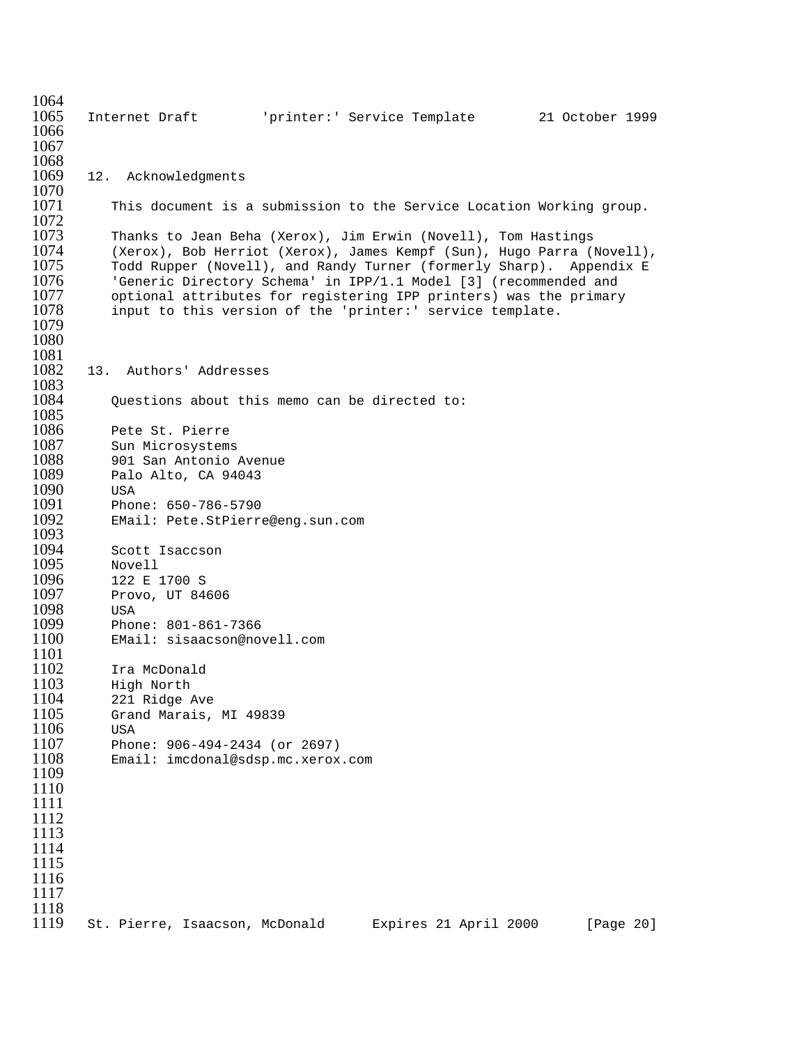1064<br>1065 1065 Internet Draft 'printer:' Service Template 21 October 1999 1066 1067 1068<br>1069 12. Acknowledgments  $\frac{1070}{1071}$ This document is a submission to the Service Location Working group. 1072<br>1073 1073 Thanks to Jean Beha (Xerox), Jim Erwin (Novell), Tom Hastings (Xerox), Bob Herriot (Xerox), James Kempf (Sun), Hugo Parra (Novell), 1075 Todd Rupper (Novell), and Randy Turner (formerly Sharp). Appendix E<br>1076 Seneric Directory Schema' in IPP/1.1 Model [3] (recommended and 'Generic Directory Schema' in IPP/1.1 Model [3] (recommended and 1077 optional attributes for registering IPP printers) was the primary 1078 input to this version of the 'printer:' service template. 1079 1080 1081<br>1082 13. Authors' Addresses 1083<br>1084 Ouestions about this memo can be directed to: 1085<br>1086 Pete St. Pierre 1087 Sun Microsystems<br>1088 901 San Antonio 1088 901 San Antonio Avenue<br>1089 Palo Alto, CA 94043 Palo Alto, CA 94043 1090 USA<br>1091 Phor 1091 Phone: 650-786-5790<br>1092 EMail: Pete.StPierr EMail: Pete.StPierre@eng.sun.com 1093<br>1094 1094 Scott Isaccson<br>1095 Novell 1095 Novell<br>1096 122 E 1096 122 E 1700 S<br>1097 Provo, UT 84 Provo, UT 84606 1098 USA<br>1099 Phor 1099 Phone: 801-861-7366<br>1100 EMail: sisaacson@no EMail: sisaacson@novell.com 1101<br>1102 1102 Ira McDonald<br>1103 High North 1103 High North<br>1104 221 Ridge 221 Ridge Ave 1105 Grand Marais, MI 49839 1106 USA 1107 Phone: 906-494-2434 (or 2697) Email: imcdonal@sdsp.mc.xerox.com 1109 1110 1111 1112 1113 1114 1115 1116 1117 1118<br>1119 1119 St. Pierre, Isaacson, McDonald Expires 21 April 2000 [Page 20]